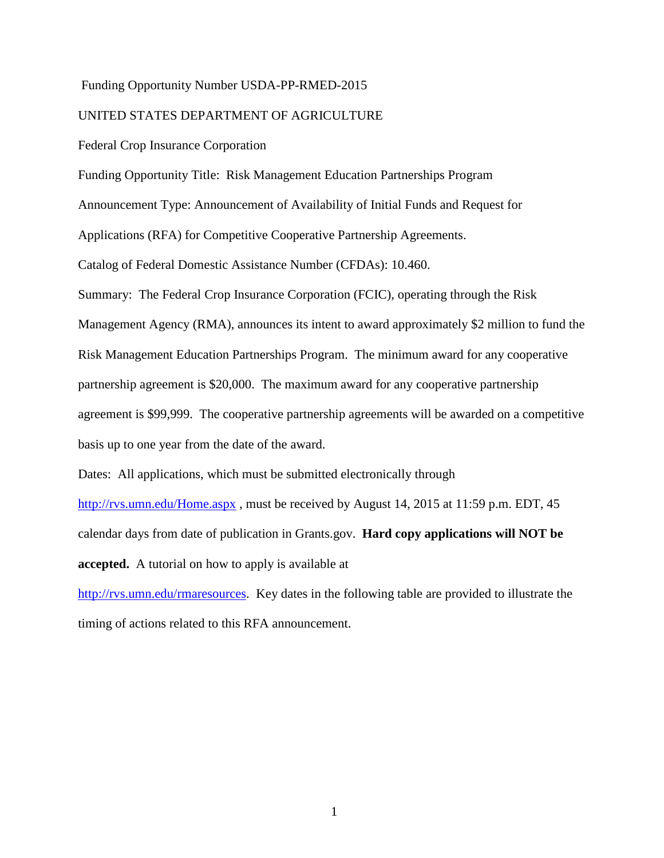## Funding Opportunity Number USDA-PP-RMED-2015

## UNITED STATES DEPARTMENT OF AGRICULTURE

Federal Crop Insurance Corporation

Funding Opportunity Title: Risk Management Education Partnerships Program

Announcement Type: Announcement of Availability of Initial Funds and Request for

Applications (RFA) for Competitive Cooperative Partnership Agreements.

Catalog of Federal Domestic Assistance Number (CFDAs): 10.460.

Summary: The Federal Crop Insurance Corporation (FCIC), operating through the Risk Management Agency (RMA), announces its intent to award approximately \$2 million to fund the Risk Management Education Partnerships Program. The minimum award for any cooperative partnership agreement is \$20,000. The maximum award for any cooperative partnership agreement is \$99,999. The cooperative partnership agreements will be awarded on a competitive basis up to one year from the date of the award.

Dates: All applications, which must be submitted electronically through

[http://rvs.umn.edu/Home.aspx](http://www.rma.agrisk.umn.edu/), must be received by August 14, 2015 at 11:59 p.m. EDT, 45 calendar days from date of publication in Grants.gov. **Hard copy applications will NOT be accepted.** A tutorial on how to apply is available at

[http://rvs.umn.edu/rmaresources.](http://rvs.umn.edu/rmaresources) Key dates in the following table are provided to illustrate the timing of actions related to this RFA announcement.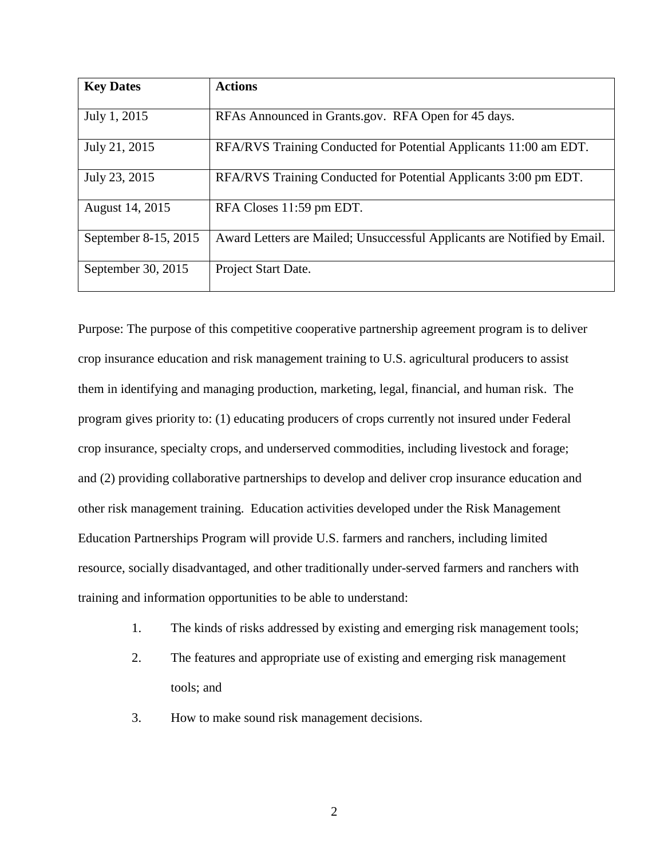| <b>Key Dates</b>     | <b>Actions</b>                                                           |
|----------------------|--------------------------------------------------------------------------|
| July 1, 2015         | RFAs Announced in Grants.gov. RFA Open for 45 days.                      |
| July 21, 2015        | RFA/RVS Training Conducted for Potential Applicants 11:00 am EDT.        |
| July 23, 2015        | RFA/RVS Training Conducted for Potential Applicants 3:00 pm EDT.         |
| August 14, 2015      | RFA Closes 11:59 pm EDT.                                                 |
| September 8-15, 2015 | Award Letters are Mailed; Unsuccessful Applicants are Notified by Email. |
| September 30, 2015   | Project Start Date.                                                      |

Purpose: The purpose of this competitive cooperative partnership agreement program is to deliver crop insurance education and risk management training to U.S. agricultural producers to assist them in identifying and managing production, marketing, legal, financial, and human risk. The program gives priority to: (1) educating producers of crops currently not insured under Federal crop insurance, specialty crops, and underserved commodities, including livestock and forage; and (2) providing collaborative partnerships to develop and deliver crop insurance education and other risk management training. Education activities developed under the Risk Management Education Partnerships Program will provide U.S. farmers and ranchers, including limited resource, socially disadvantaged, and other traditionally under-served farmers and ranchers with training and information opportunities to be able to understand:

- 1. The kinds of risks addressed by existing and emerging risk management tools;
- 2. The features and appropriate use of existing and emerging risk management tools; and
- 3. How to make sound risk management decisions.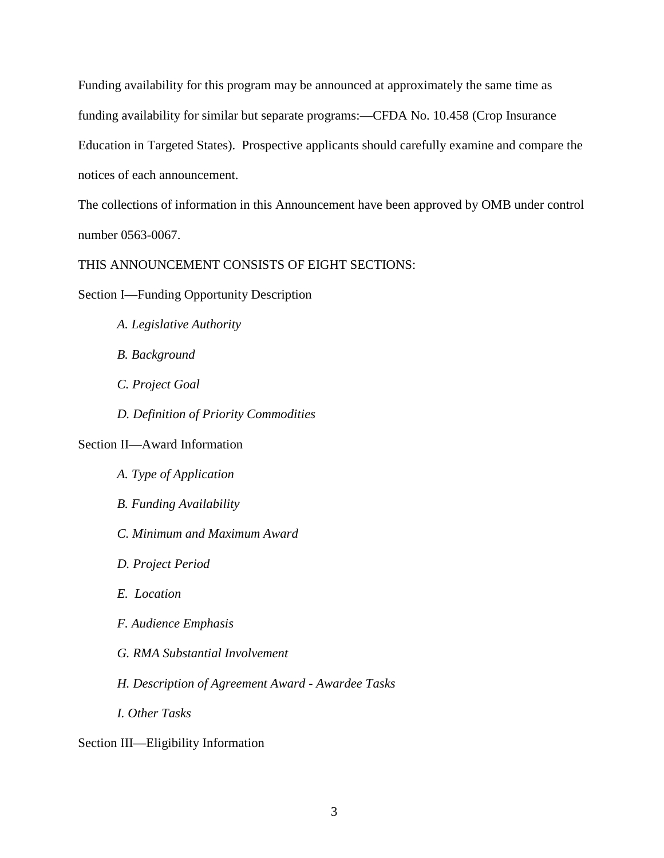Funding availability for this program may be announced at approximately the same time as funding availability for similar but separate programs:—CFDA No. 10.458 (Crop Insurance Education in Targeted States). Prospective applicants should carefully examine and compare the notices of each announcement.

The collections of information in this Announcement have been approved by OMB under control number 0563-0067.

THIS ANNOUNCEMENT CONSISTS OF EIGHT SECTIONS:

Section I—Funding Opportunity Description

- *A. Legislative Authority*
- *B. Background*
- *C. Project Goal*
- *D. Definition of Priority Commodities*

# Section II—Award Information

*A. Type of Application B. Funding Availability C. Minimum and Maximum Award D. Project Period E. Location F. Audience Emphasis G. RMA Substantial Involvement H. Description of Agreement Award - Awardee Tasks I. Other Tasks*

Section III—Eligibility Information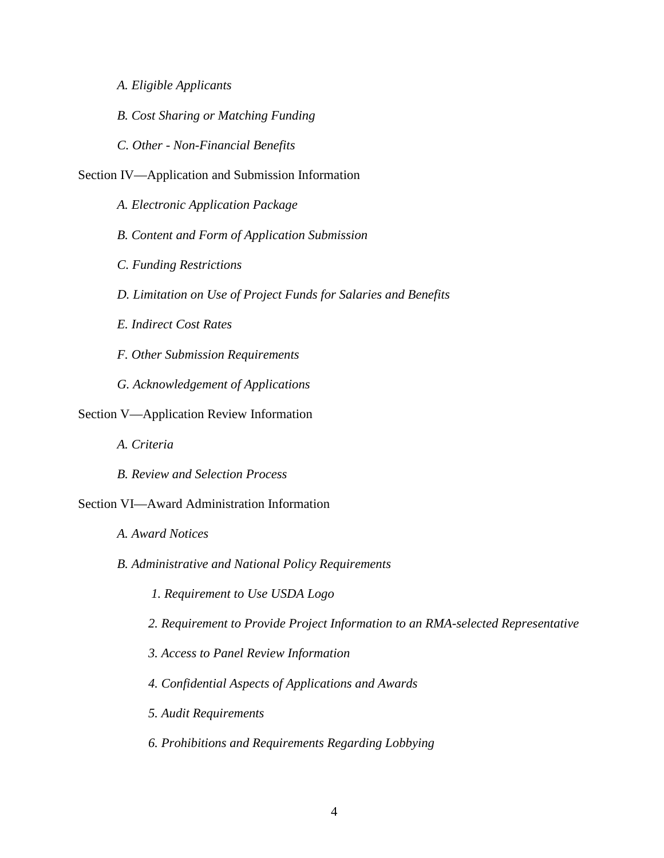- *A. Eligible Applicants*
- *B. Cost Sharing or Matching Funding*
- *C. Other - Non-Financial Benefits*
- Section IV—Application and Submission Information
	- *A. Electronic Application Package*
	- *B. Content and Form of Application Submission*
	- *C. Funding Restrictions*
	- *D. Limitation on Use of Project Funds for Salaries and Benefits*
	- *E. Indirect Cost Rates*
	- *F. Other Submission Requirements*
	- *G. Acknowledgement of Applications*
- Section V—Application Review Information
	- *A. Criteria*
	- *B. Review and Selection Process*

## Section VI—Award Administration Information

- *A. Award Notices*
- *B. Administrative and National Policy Requirements*
	- *1. Requirement to Use USDA Logo*
	- *2. Requirement to Provide Project Information to an RMA-selected Representative*
	- *3. Access to Panel Review Information*
	- *4. Confidential Aspects of Applications and Awards*
	- *5. Audit Requirements*
	- *6. Prohibitions and Requirements Regarding Lobbying*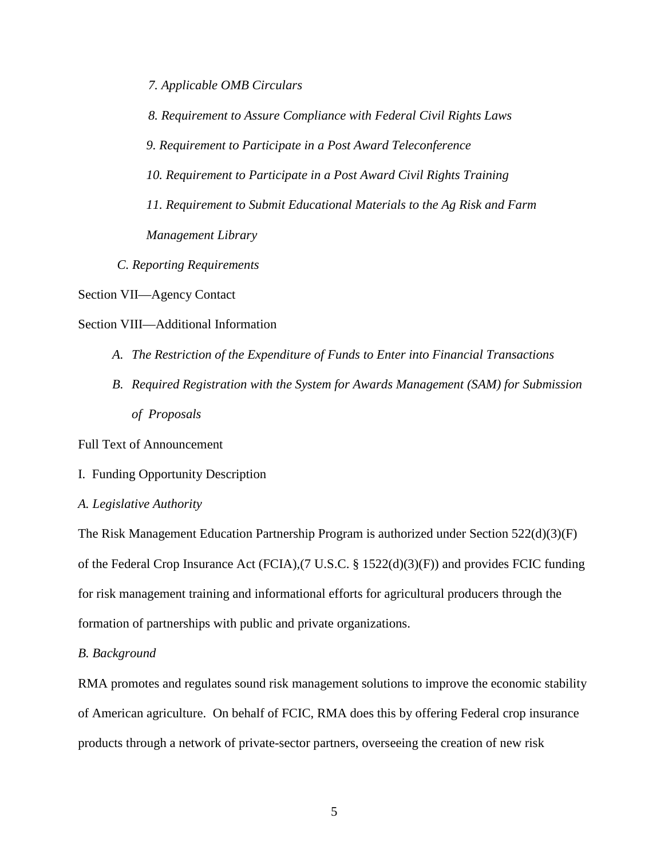*7. Applicable OMB Circulars*

*8. Requirement to Assure Compliance with Federal Civil Rights Laws*

*9. Requirement to Participate in a Post Award Teleconference*

*10. Requirement to Participate in a Post Award Civil Rights Training* 

- *11. Requirement to Submit Educational Materials to the Ag Risk and Farm Management Library*
- *C. Reporting Requirements*

Section VII—Agency Contact

Section VIII—Additional Information

- *A. The Restriction of the Expenditure of Funds to Enter into Financial Transactions*
- *B. Required Registration with the System for Awards Management (SAM) for Submission of Proposals*

Full Text of Announcement

I. Funding Opportunity Description

## *A. Legislative Authority*

The Risk Management Education Partnership Program is authorized under Section 522(d)(3)(F) of the Federal Crop Insurance Act (FCIA),(7 U.S.C. § 1522(d)(3)(F)) and provides FCIC funding for risk management training and informational efforts for agricultural producers through the formation of partnerships with public and private organizations.

## *B. Background*

RMA promotes and regulates sound risk management solutions to improve the economic stability of American agriculture. On behalf of FCIC, RMA does this by offering Federal crop insurance products through a network of private-sector partners, overseeing the creation of new risk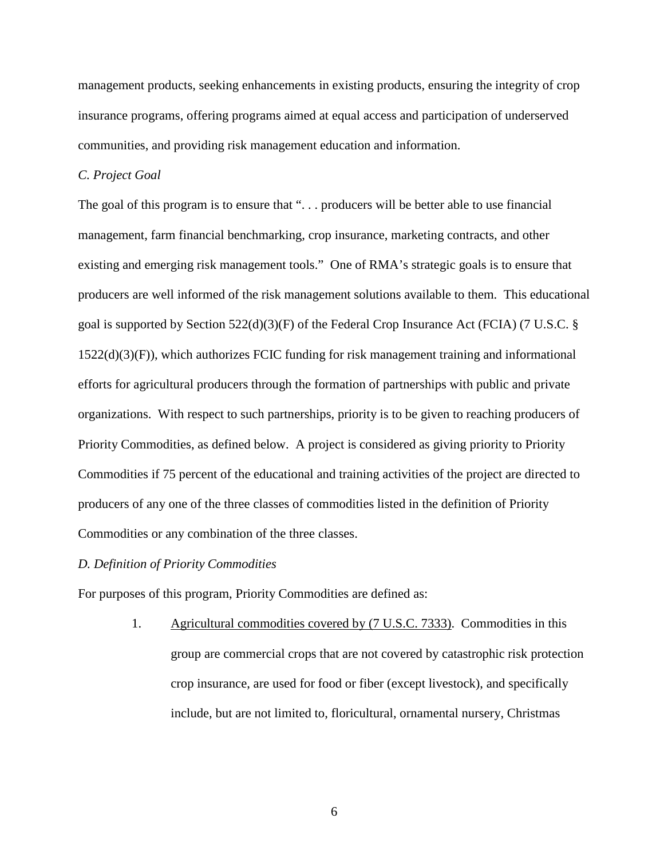management products, seeking enhancements in existing products, ensuring the integrity of crop insurance programs, offering programs aimed at equal access and participation of underserved communities, and providing risk management education and information.

## *C. Project Goal*

The goal of this program is to ensure that "... producers will be better able to use financial management, farm financial benchmarking, crop insurance, marketing contracts, and other existing and emerging risk management tools." One of RMA's strategic goals is to ensure that producers are well informed of the risk management solutions available to them. This educational goal is supported by Section  $522(d)(3)(F)$  of the Federal Crop Insurance Act (FCIA) (7 U.S.C. § 1522(d)(3)(F)), which authorizes FCIC funding for risk management training and informational efforts for agricultural producers through the formation of partnerships with public and private organizations. With respect to such partnerships, priority is to be given to reaching producers of Priority Commodities, as defined below. A project is considered as giving priority to Priority Commodities if 75 percent of the educational and training activities of the project are directed to producers of any one of the three classes of commodities listed in the definition of Priority Commodities or any combination of the three classes.

#### *D. Definition of Priority Commodities*

For purposes of this program, Priority Commodities are defined as:

1. Agricultural commodities covered by (7 U.S.C. 7333). Commodities in this group are commercial crops that are not covered by catastrophic risk protection crop insurance, are used for food or fiber (except livestock), and specifically include, but are not limited to, floricultural, ornamental nursery, Christmas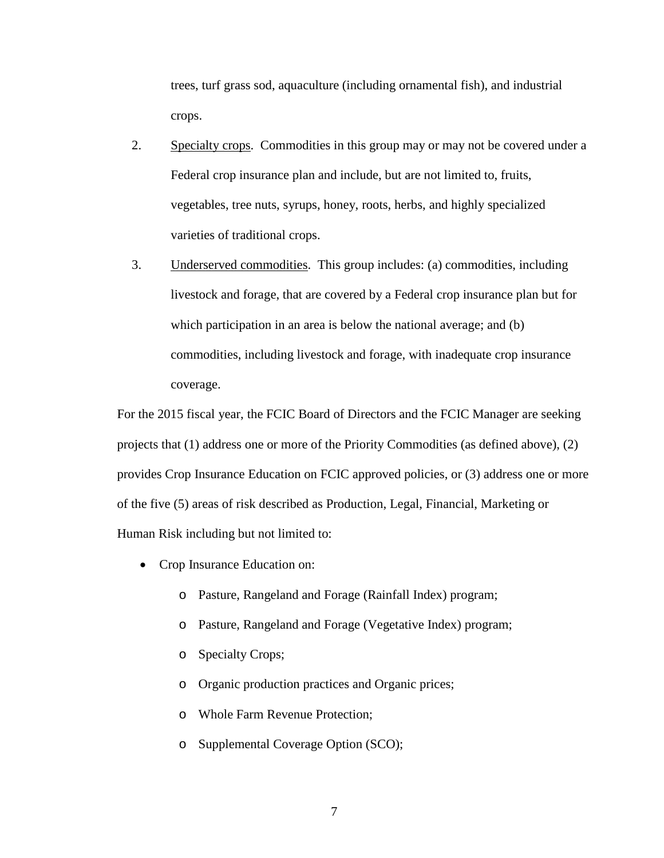trees, turf grass sod, aquaculture (including ornamental fish), and industrial crops.

- 2. Specialty crops.Commodities in this group may or may not be covered under a Federal crop insurance plan and include, but are not limited to, fruits, vegetables, tree nuts, syrups, honey, roots, herbs, and highly specialized varieties of traditional crops.
- 3. Underserved commodities. This group includes: (a) commodities, including livestock and forage, that are covered by a Federal crop insurance plan but for which participation in an area is below the national average; and (b) commodities, including livestock and forage, with inadequate crop insurance coverage.

For the 2015 fiscal year, the FCIC Board of Directors and the FCIC Manager are seeking projects that (1) address one or more of the Priority Commodities (as defined above), (2) provides Crop Insurance Education on FCIC approved policies, or (3) address one or more of the five (5) areas of risk described as Production, Legal, Financial, Marketing or Human Risk including but not limited to:

- Crop Insurance Education on:
	- o Pasture, Rangeland and Forage (Rainfall Index) program;
	- o Pasture, Rangeland and Forage (Vegetative Index) program;
	- o Specialty Crops;
	- o Organic production practices and Organic prices;
	- o Whole Farm Revenue Protection;
	- o Supplemental Coverage Option (SCO);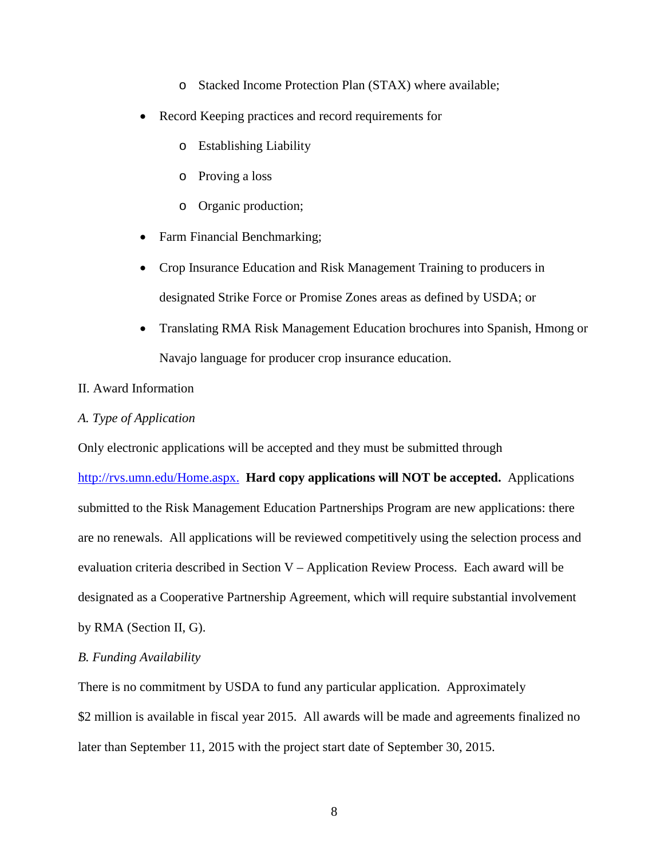- o Stacked Income Protection Plan (STAX) where available;
- Record Keeping practices and record requirements for
	- o Establishing Liability
	- o Proving a loss
	- o Organic production;
- Farm Financial Benchmarking;
- Crop Insurance Education and Risk Management Training to producers in designated Strike Force or Promise Zones areas as defined by USDA; or
- Translating RMA Risk Management Education brochures into Spanish, Hmong or Navajo language for producer crop insurance education.

# II. Award Information

## *A. Type of Application*

Only electronic applications will be accepted and they must be submitted through

[http://rvs.umn.edu/Home.aspx.](http://www.rma.agrisk.umn.edu/) **Hard copy applications will NOT be accepted.** Applications submitted to the Risk Management Education Partnerships Program are new applications: there are no renewals. All applications will be reviewed competitively using the selection process and evaluation criteria described in Section V – Application Review Process. Each award will be designated as a Cooperative Partnership Agreement, which will require substantial involvement by RMA (Section II, G).

## *B. Funding Availability*

There is no commitment by USDA to fund any particular application.Approximately \$2 million is available in fiscal year 2015. All awards will be made and agreements finalized no later than September 11, 2015 with the project start date of September 30, 2015.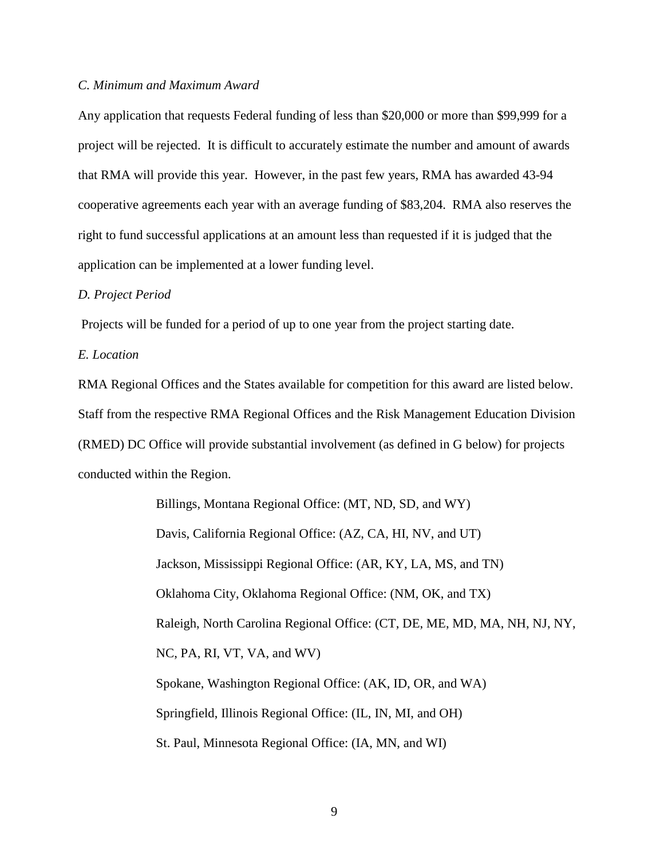#### *C. Minimum and Maximum Award*

Any application that requests Federal funding of less than \$20,000 or more than \$99,999 for a project will be rejected. It is difficult to accurately estimate the number and amount of awards that RMA will provide this year. However, in the past few years, RMA has awarded 43-94 cooperative agreements each year with an average funding of \$83,204. RMA also reserves the right to fund successful applications at an amount less than requested if it is judged that the application can be implemented at a lower funding level.

#### *D. Project Period*

Projects will be funded for a period of up to one year from the project starting date.

*E. Location* 

RMA Regional Offices and the States available for competition for this award are listed below. Staff from the respective RMA Regional Offices and the Risk Management Education Division (RMED) DC Office will provide substantial involvement (as defined in G below) for projects conducted within the Region.

> Billings, Montana Regional Office: (MT, ND, SD, and WY) Davis, California Regional Office: (AZ, CA, HI, NV, and UT) Jackson, Mississippi Regional Office: (AR, KY, LA, MS, and TN) Oklahoma City, Oklahoma Regional Office: (NM, OK, and TX) Raleigh, North Carolina Regional Office: (CT, DE, ME, MD, MA, NH, NJ, NY, NC, PA, RI, VT, VA, and WV) Spokane, Washington Regional Office: (AK, ID, OR, and WA) Springfield, Illinois Regional Office: (IL, IN, MI, and OH) St. Paul, Minnesota Regional Office: (IA, MN, and WI)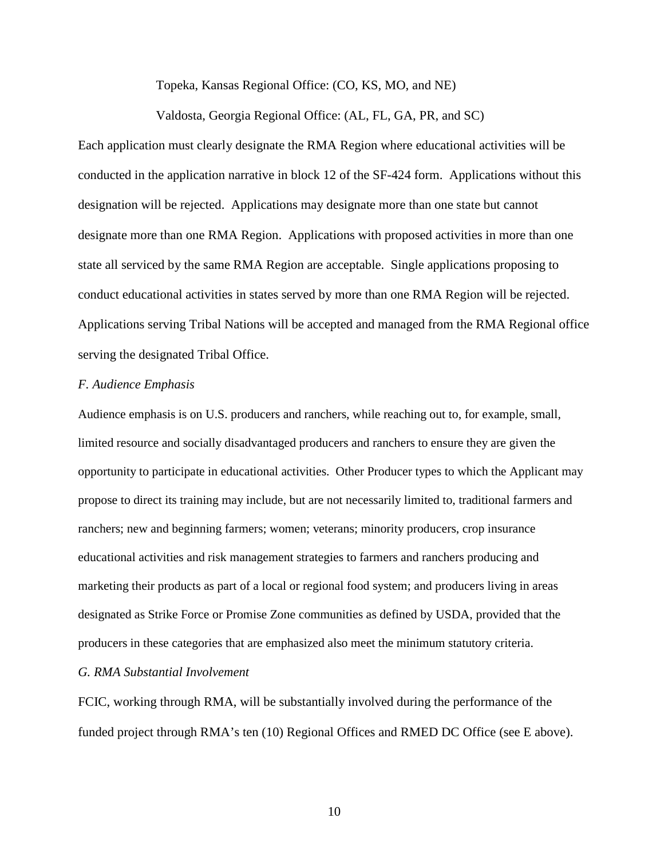Topeka, Kansas Regional Office: (CO, KS, MO, and NE)

Valdosta, Georgia Regional Office: (AL, FL, GA, PR, and SC)

Each application must clearly designate the RMA Region where educational activities will be conducted in the application narrative in block 12 of the SF-424 form. Applications without this designation will be rejected. Applications may designate more than one state but cannot designate more than one RMA Region. Applications with proposed activities in more than one state all serviced by the same RMA Region are acceptable. Single applications proposing to conduct educational activities in states served by more than one RMA Region will be rejected. Applications serving Tribal Nations will be accepted and managed from the RMA Regional office serving the designated Tribal Office.

## *F. Audience Emphasis*

Audience emphasis is on U.S. producers and ranchers, while reaching out to, for example, small, limited resource and socially disadvantaged producers and ranchers to ensure they are given the opportunity to participate in educational activities. Other Producer types to which the Applicant may propose to direct its training may include, but are not necessarily limited to, traditional farmers and ranchers; new and beginning farmers; women; veterans; minority producers, crop insurance educational activities and risk management strategies to farmers and ranchers producing and marketing their products as part of a local or regional food system; and producers living in areas designated as Strike Force or Promise Zone communities as defined by USDA, provided that the producers in these categories that are emphasized also meet the minimum statutory criteria.

## *G. RMA Substantial Involvement*

FCIC, working through RMA, will be substantially involved during the performance of the funded project through RMA's ten (10) Regional Offices and RMED DC Office (see E above).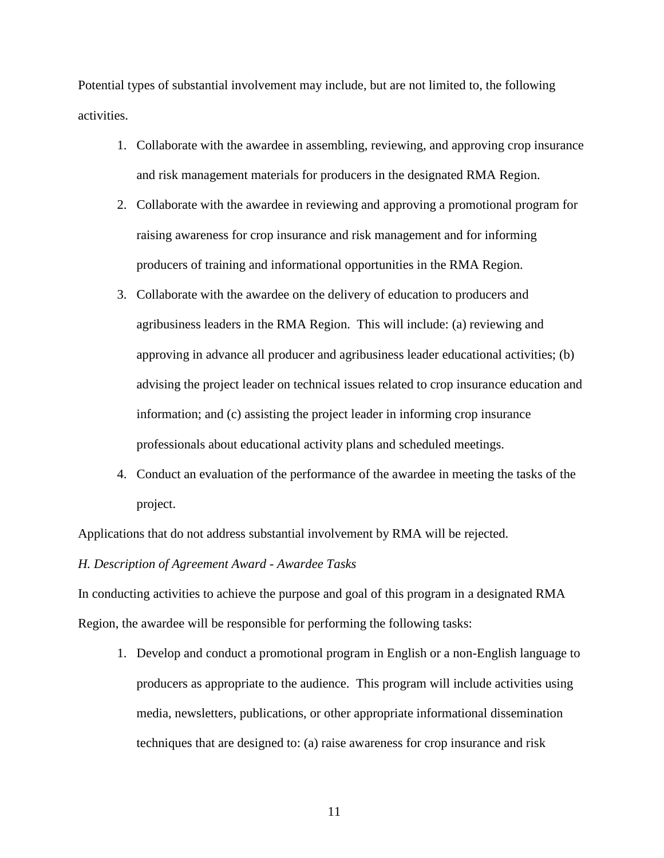Potential types of substantial involvement may include, but are not limited to, the following activities.

- 1. Collaborate with the awardee in assembling, reviewing, and approving crop insurance and risk management materials for producers in the designated RMA Region.
- 2. Collaborate with the awardee in reviewing and approving a promotional program for raising awareness for crop insurance and risk management and for informing producers of training and informational opportunities in the RMA Region.
- 3. Collaborate with the awardee on the delivery of education to producers and agribusiness leaders in the RMA Region. This will include: (a) reviewing and approving in advance all producer and agribusiness leader educational activities; (b) advising the project leader on technical issues related to crop insurance education and information; and (c) assisting the project leader in informing crop insurance professionals about educational activity plans and scheduled meetings.
- 4. Conduct an evaluation of the performance of the awardee in meeting the tasks of the project.

Applications that do not address substantial involvement by RMA will be rejected.

#### *H. Description of Agreement Award - Awardee Tasks*

In conducting activities to achieve the purpose and goal of this program in a designated RMA Region, the awardee will be responsible for performing the following tasks:

1. Develop and conduct a promotional program in English or a non-English language to producers as appropriate to the audience. This program will include activities using media, newsletters, publications, or other appropriate informational dissemination techniques that are designed to: (a) raise awareness for crop insurance and risk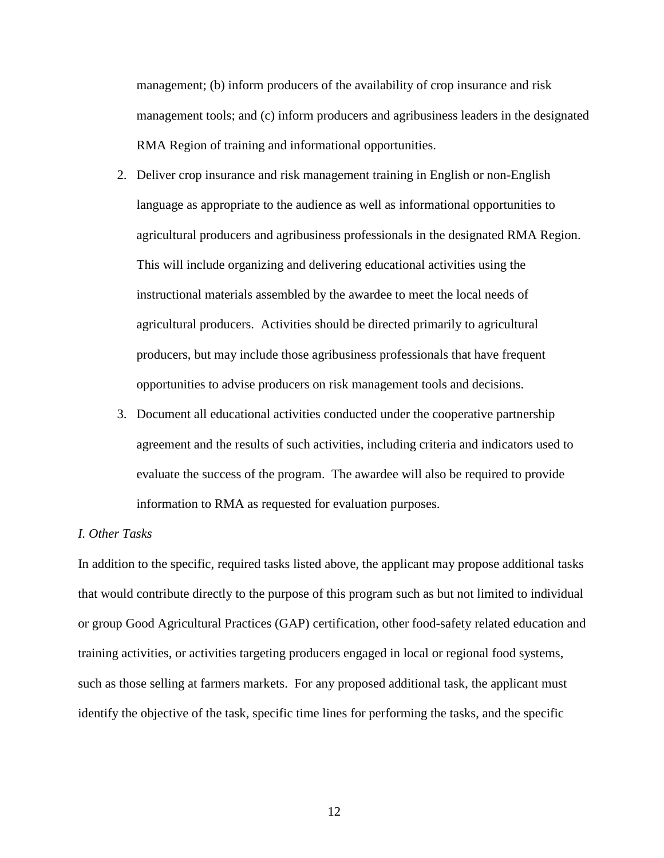management; (b) inform producers of the availability of crop insurance and risk management tools; and (c) inform producers and agribusiness leaders in the designated RMA Region of training and informational opportunities.

- 2. Deliver crop insurance and risk management training in English or non-English language as appropriate to the audience as well as informational opportunities to agricultural producers and agribusiness professionals in the designated RMA Region. This will include organizing and delivering educational activities using the instructional materials assembled by the awardee to meet the local needs of agricultural producers. Activities should be directed primarily to agricultural producers, but may include those agribusiness professionals that have frequent opportunities to advise producers on risk management tools and decisions.
- 3. Document all educational activities conducted under the cooperative partnership agreement and the results of such activities, including criteria and indicators used to evaluate the success of the program. The awardee will also be required to provide information to RMA as requested for evaluation purposes.

## *I. Other Tasks*

In addition to the specific, required tasks listed above, the applicant may propose additional tasks that would contribute directly to the purpose of this program such as but not limited to individual or group Good Agricultural Practices (GAP) certification, other food-safety related education and training activities, or activities targeting producers engaged in local or regional food systems, such as those selling at farmers markets. For any proposed additional task, the applicant must identify the objective of the task, specific time lines for performing the tasks, and the specific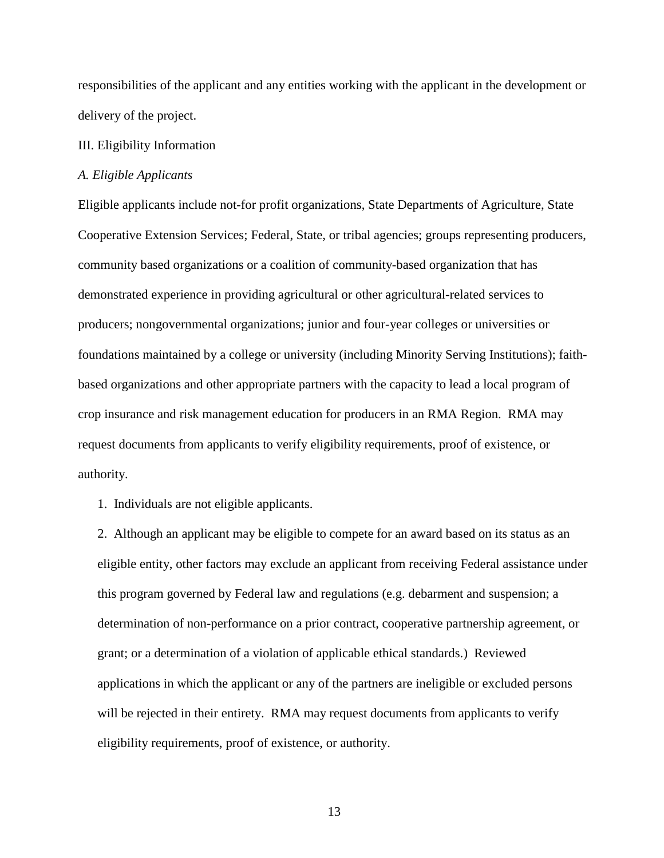responsibilities of the applicant and any entities working with the applicant in the development or delivery of the project.

#### III. Eligibility Information

## *A. Eligible Applicants*

Eligible applicants include not-for profit organizations, State Departments of Agriculture, State Cooperative Extension Services; Federal, State, or tribal agencies; groups representing producers, community based organizations or a coalition of community-based organization that has demonstrated experience in providing agricultural or other agricultural-related services to producers; nongovernmental organizations; junior and four-year colleges or universities or foundations maintained by a college or university (including Minority Serving Institutions); faithbased organizations and other appropriate partners with the capacity to lead a local program of crop insurance and risk management education for producers in an RMA Region. RMA may request documents from applicants to verify eligibility requirements, proof of existence, or authority.

1. Individuals are not eligible applicants.

2. Although an applicant may be eligible to compete for an award based on its status as an eligible entity, other factors may exclude an applicant from receiving Federal assistance under this program governed by Federal law and regulations (e.g. debarment and suspension; a determination of non-performance on a prior contract, cooperative partnership agreement, or grant; or a determination of a violation of applicable ethical standards.) Reviewed applications in which the applicant or any of the partners are ineligible or excluded persons will be rejected in their entirety. RMA may request documents from applicants to verify eligibility requirements, proof of existence, or authority.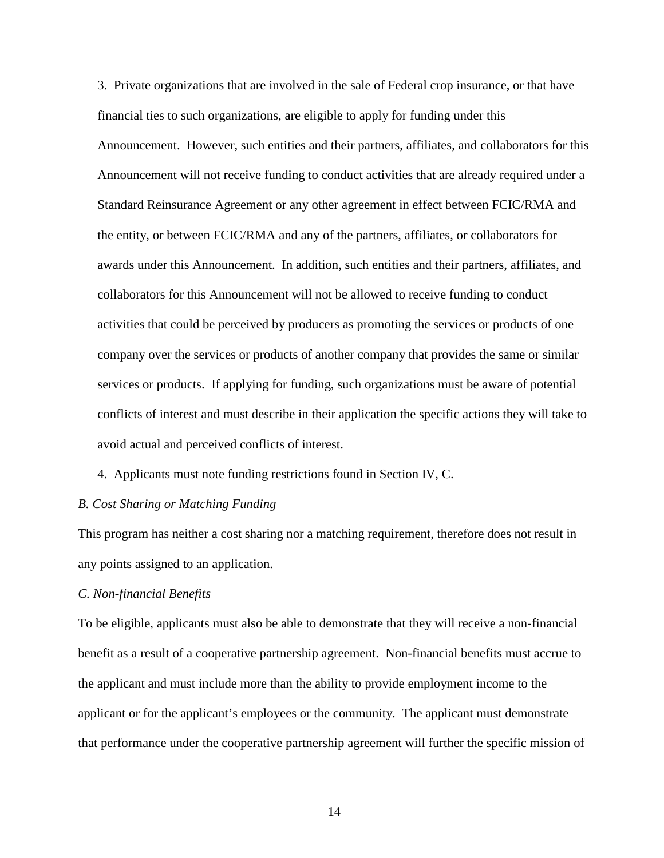3. Private organizations that are involved in the sale of Federal crop insurance, or that have financial ties to such organizations, are eligible to apply for funding under this Announcement. However, such entities and their partners, affiliates, and collaborators for this Announcement will not receive funding to conduct activities that are already required under a Standard Reinsurance Agreement or any other agreement in effect between FCIC/RMA and the entity, or between FCIC/RMA and any of the partners, affiliates, or collaborators for awards under this Announcement. In addition, such entities and their partners, affiliates, and collaborators for this Announcement will not be allowed to receive funding to conduct activities that could be perceived by producers as promoting the services or products of one company over the services or products of another company that provides the same or similar services or products. If applying for funding, such organizations must be aware of potential conflicts of interest and must describe in their application the specific actions they will take to avoid actual and perceived conflicts of interest.

4. Applicants must note funding restrictions found in Section IV, C.

## *B. Cost Sharing or Matching Funding*

This program has neither a cost sharing nor a matching requirement, therefore does not result in any points assigned to an application.

## *C. Non-financial Benefits*

To be eligible, applicants must also be able to demonstrate that they will receive a non-financial benefit as a result of a cooperative partnership agreement. Non-financial benefits must accrue to the applicant and must include more than the ability to provide employment income to the applicant or for the applicant's employees or the community. The applicant must demonstrate that performance under the cooperative partnership agreement will further the specific mission of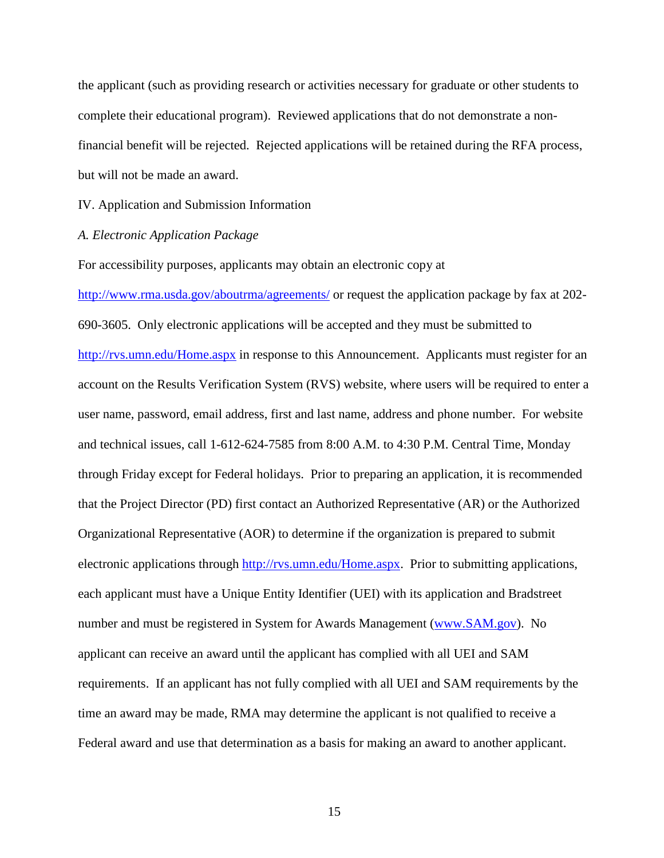the applicant (such as providing research or activities necessary for graduate or other students to complete their educational program). Reviewed applications that do not demonstrate a nonfinancial benefit will be rejected. Rejected applications will be retained during the RFA process, but will not be made an award.

IV. Application and Submission Information

*A. Electronic Application Package*

For accessibility purposes, applicants may obtain an electronic copy at

<http://www.rma.usda.gov/aboutrma/agreements/> or request the application package by fax at 202-690-3605. Only electronic applications will be accepted and they must be submitted to http://rvs.umn.edu/Home.aspx in response to this Announcement. Applicants must register for an account on the Results Verification System (RVS) website, where users will be required to enter a user name, password, email address, first and last name, address and phone number. For website and technical issues, call 1-612-624-7585 from 8:00 A.M. to 4:30 P.M. Central Time, Monday through Friday except for Federal holidays. Prior to preparing an application, it is recommended that the Project Director (PD) first contact an Authorized Representative (AR) or the Authorized Organizational Representative (AOR) to determine if the organization is prepared to submit electronic applications through http://rvs.umn.edu/Home.aspx. Prior to submitting applications, each applicant must have a Unique Entity Identifier (UEI) with its application and Bradstreet number and must be registered in System for Awards Management [\(www.SAM.gov\)](http://www.sam.gov/). No applicant can receive an award until the applicant has complied with all UEI and SAM requirements. If an applicant has not fully complied with all UEI and SAM requirements by the time an award may be made, RMA may determine the applicant is not qualified to receive a Federal award and use that determination as a basis for making an award to another applicant.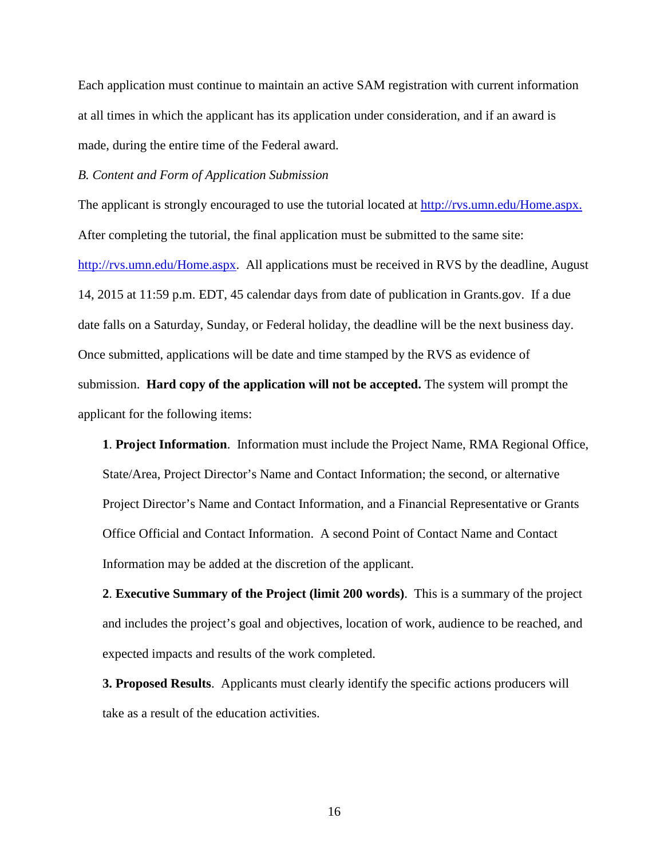Each application must continue to maintain an active SAM registration with current information at all times in which the applicant has its application under consideration, and if an award is made, during the entire time of the Federal award.

## *B. Content and Form of Application Submission*

The applicant is strongly encouraged to use the tutorial located at [http://rvs.umn.edu/Home.aspx.](http://www.rma.agrisk.umn.edu/) After completing the tutorial, the final application must be submitted to the same site: [http://rvs.umn.edu/Home.aspx.](http://www.rma.agrisk.umn.edu/) All applications must be received in RVS by the deadline, August 14, 2015 at 11:59 p.m. EDT, 45 calendar days from date of publication in Grants.gov. If a due date falls on a Saturday, Sunday, or Federal holiday, the deadline will be the next business day. Once submitted, applications will be date and time stamped by the RVS as evidence of submission. **Hard copy of the application will not be accepted.** The system will prompt the applicant for the following items:

**1**. **Project Information**. Information must include the Project Name, RMA Regional Office, State/Area, Project Director's Name and Contact Information; the second, or alternative Project Director's Name and Contact Information, and a Financial Representative or Grants Office Official and Contact Information. A second Point of Contact Name and Contact Information may be added at the discretion of the applicant.

**2**. **Executive Summary of the Project (limit 200 words)**. This is a summary of the project and includes the project's goal and objectives, location of work, audience to be reached, and expected impacts and results of the work completed.

**3. Proposed Results**. Applicants must clearly identify the specific actions producers will take as a result of the education activities.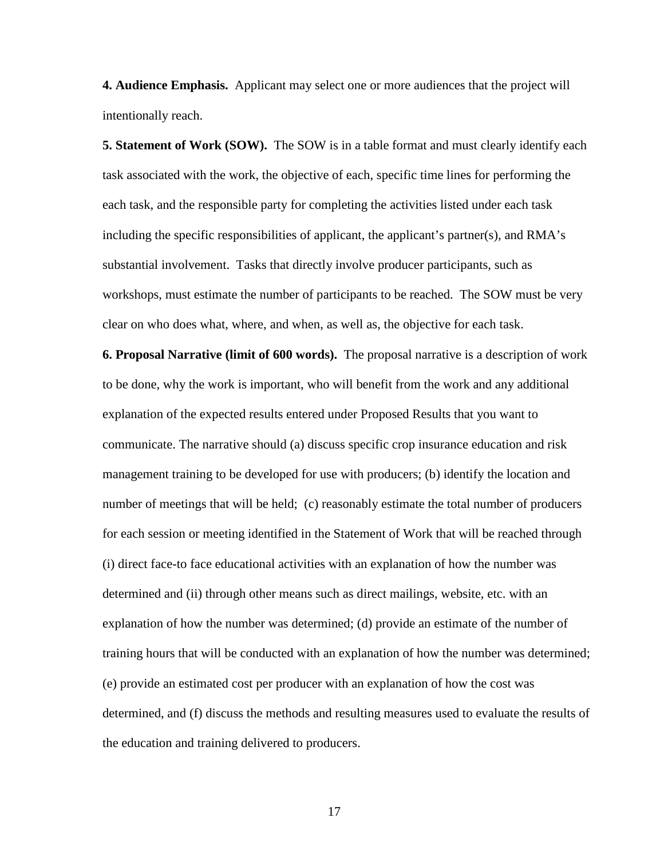**4. Audience Emphasis.** Applicant may select one or more audiences that the project will intentionally reach.

**5. Statement of Work (SOW).** The SOW is in a table format and must clearly identify each task associated with the work, the objective of each, specific time lines for performing the each task, and the responsible party for completing the activities listed under each task including the specific responsibilities of applicant, the applicant's partner(s), and RMA's substantial involvement. Tasks that directly involve producer participants, such as workshops, must estimate the number of participants to be reached. The SOW must be very clear on who does what, where, and when, as well as, the objective for each task.

**6. Proposal Narrative (limit of 600 words).** The proposal narrative is a description of work to be done, why the work is important, who will benefit from the work and any additional explanation of the expected results entered under Proposed Results that you want to communicate. The narrative should (a) discuss specific crop insurance education and risk management training to be developed for use with producers; (b) identify the location and number of meetings that will be held; (c) reasonably estimate the total number of producers for each session or meeting identified in the Statement of Work that will be reached through (i) direct face-to face educational activities with an explanation of how the number was determined and (ii) through other means such as direct mailings, website, etc. with an explanation of how the number was determined; (d) provide an estimate of the number of training hours that will be conducted with an explanation of how the number was determined; (e) provide an estimated cost per producer with an explanation of how the cost was determined, and (f) discuss the methods and resulting measures used to evaluate the results of the education and training delivered to producers.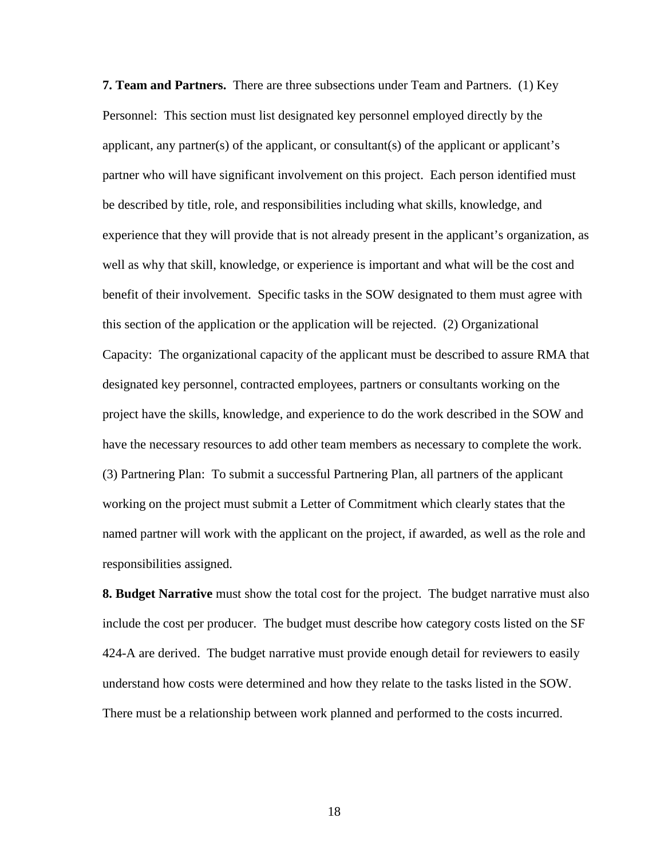**7. Team and Partners.** There are three subsections under Team and Partners. (1) Key Personnel: This section must list designated key personnel employed directly by the applicant, any partner(s) of the applicant, or consultant(s) of the applicant or applicant's partner who will have significant involvement on this project. Each person identified must be described by title, role, and responsibilities including what skills, knowledge, and experience that they will provide that is not already present in the applicant's organization, as well as why that skill, knowledge, or experience is important and what will be the cost and benefit of their involvement. Specific tasks in the SOW designated to them must agree with this section of the application or the application will be rejected. (2) Organizational Capacity: The organizational capacity of the applicant must be described to assure RMA that designated key personnel, contracted employees, partners or consultants working on the project have the skills, knowledge, and experience to do the work described in the SOW and have the necessary resources to add other team members as necessary to complete the work. (3) Partnering Plan: To submit a successful Partnering Plan, all partners of the applicant working on the project must submit a Letter of Commitment which clearly states that the named partner will work with the applicant on the project, if awarded, as well as the role and responsibilities assigned.

**8. Budget Narrative** must show the total cost for the project. The budget narrative must also include the cost per producer. The budget must describe how category costs listed on the SF 424-A are derived. The budget narrative must provide enough detail for reviewers to easily understand how costs were determined and how they relate to the tasks listed in the SOW. There must be a relationship between work planned and performed to the costs incurred.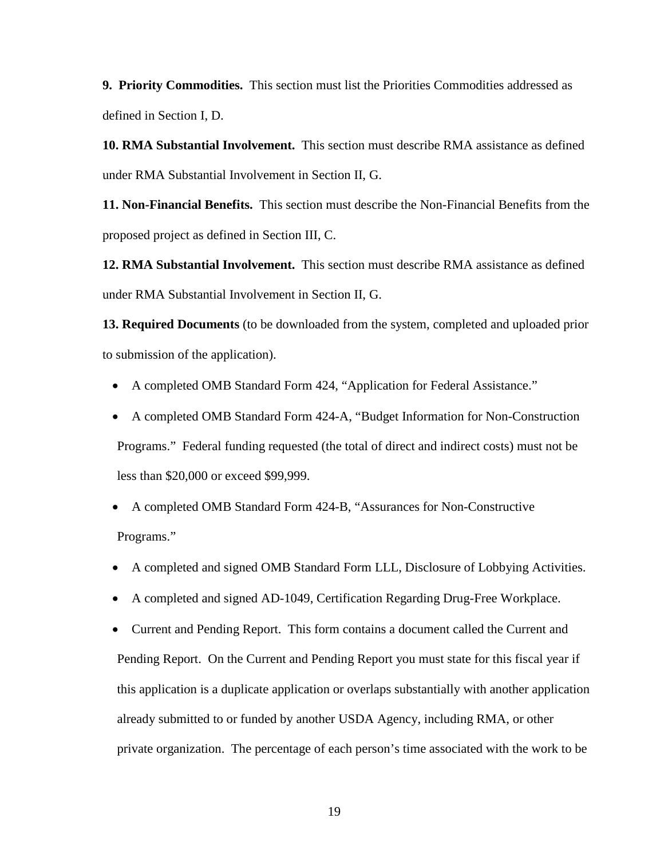**9. Priority Commodities.** This section must list the Priorities Commodities addressed as defined in Section I, D.

**10. RMA Substantial Involvement.** This section must describe RMA assistance as defined under RMA Substantial Involvement in Section II, G.

**11. Non-Financial Benefits.** This section must describe the Non-Financial Benefits from the proposed project as defined in Section III, C.

**12. RMA Substantial Involvement.** This section must describe RMA assistance as defined under RMA Substantial Involvement in Section II, G.

**13. Required Documents** (to be downloaded from the system, completed and uploaded prior to submission of the application).

- A completed OMB Standard Form 424, "Application for Federal Assistance."
- A completed OMB Standard Form 424-A, "Budget Information for Non-Construction Programs." Federal funding requested (the total of direct and indirect costs) must not be less than \$20,000 or exceed \$99,999.
- A completed OMB Standard Form 424-B, "Assurances for Non-Constructive Programs."
- A completed and signed OMB Standard Form LLL, Disclosure of Lobbying Activities.
- A completed and signed AD-1049, Certification Regarding Drug-Free Workplace.

• Current and Pending Report. This form contains a document called the Current and Pending Report. On the Current and Pending Report you must state for this fiscal year if this application is a duplicate application or overlaps substantially with another application already submitted to or funded by another USDA Agency, including RMA, or other private organization. The percentage of each person's time associated with the work to be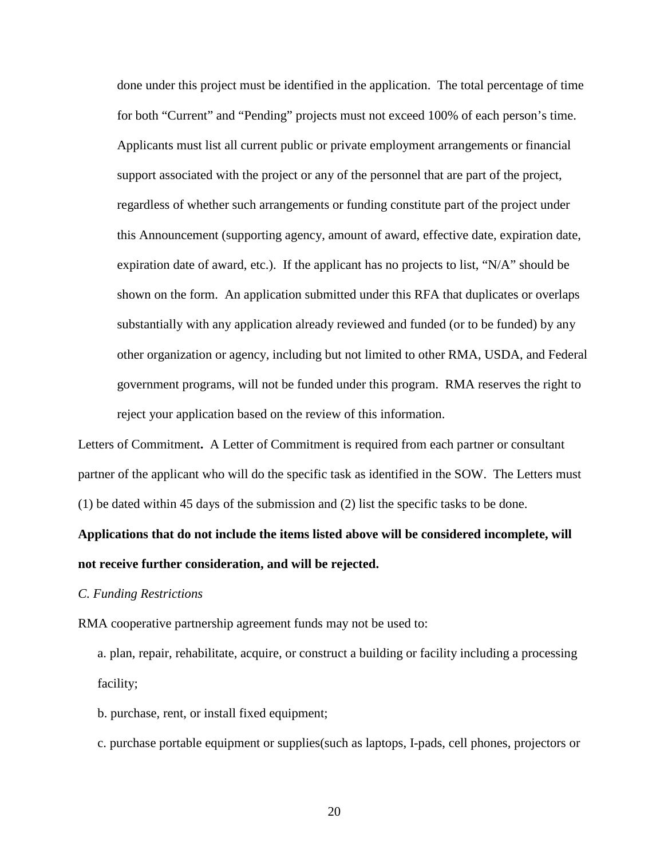done under this project must be identified in the application. The total percentage of time for both "Current" and "Pending" projects must not exceed 100% of each person's time. Applicants must list all current public or private employment arrangements or financial support associated with the project or any of the personnel that are part of the project, regardless of whether such arrangements or funding constitute part of the project under this Announcement (supporting agency, amount of award, effective date, expiration date, expiration date of award, etc.). If the applicant has no projects to list, "N/A" should be shown on the form. An application submitted under this RFA that duplicates or overlaps substantially with any application already reviewed and funded (or to be funded) by any other organization or agency, including but not limited to other RMA, USDA, and Federal government programs, will not be funded under this program. RMA reserves the right to reject your application based on the review of this information.

Letters of Commitment**.** A Letter of Commitment is required from each partner or consultant partner of the applicant who will do the specific task as identified in the SOW. The Letters must (1) be dated within 45 days of the submission and (2) list the specific tasks to be done.

# **Applications that do not include the items listed above will be considered incomplete, will not receive further consideration, and will be rejected.**

### *C. Funding Restrictions*

RMA cooperative partnership agreement funds may not be used to:

a. plan, repair, rehabilitate, acquire, or construct a building or facility including a processing facility;

b. purchase, rent, or install fixed equipment;

c. purchase portable equipment or supplies(such as laptops, I-pads, cell phones, projectors or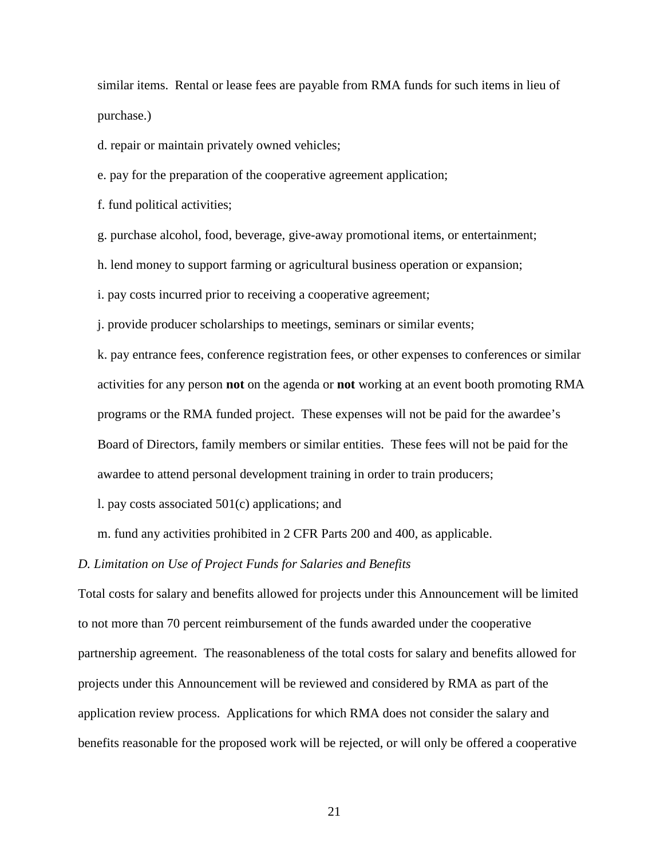similar items. Rental or lease fees are payable from RMA funds for such items in lieu of purchase.)

d. repair or maintain privately owned vehicles;

e. pay for the preparation of the cooperative agreement application;

f. fund political activities;

g. purchase alcohol, food, beverage, give-away promotional items, or entertainment;

h. lend money to support farming or agricultural business operation or expansion;

i. pay costs incurred prior to receiving a cooperative agreement;

j. provide producer scholarships to meetings, seminars or similar events;

k. pay entrance fees, conference registration fees, or other expenses to conferences or similar activities for any person **not** on the agenda or **not** working at an event booth promoting RMA programs or the RMA funded project. These expenses will not be paid for the awardee's Board of Directors, family members or similar entities. These fees will not be paid for the awardee to attend personal development training in order to train producers;

l. pay costs associated 501(c) applications; and

m. fund any activities prohibited in 2 CFR Parts 200 and 400, as applicable.

#### *D. Limitation on Use of Project Funds for Salaries and Benefits*

Total costs for salary and benefits allowed for projects under this Announcement will be limited to not more than 70 percent reimbursement of the funds awarded under the cooperative partnership agreement. The reasonableness of the total costs for salary and benefits allowed for projects under this Announcement will be reviewed and considered by RMA as part of the application review process. Applications for which RMA does not consider the salary and benefits reasonable for the proposed work will be rejected, or will only be offered a cooperative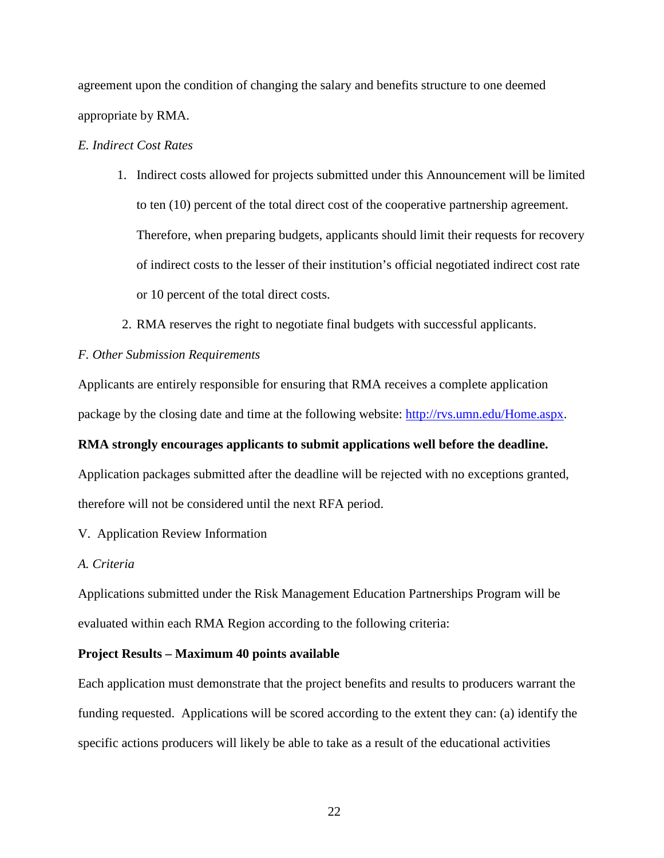agreement upon the condition of changing the salary and benefits structure to one deemed appropriate by RMA.

# *E. Indirect Cost Rates*

- 1. Indirect costs allowed for projects submitted under this Announcement will be limited to ten (10) percent of the total direct cost of the cooperative partnership agreement. Therefore, when preparing budgets, applicants should limit their requests for recovery of indirect costs to the lesser of their institution's official negotiated indirect cost rate or 10 percent of the total direct costs.
- 2. RMA reserves the right to negotiate final budgets with successful applicants.

## *F. Other Submission Requirements*

Applicants are entirely responsible for ensuring that RMA receives a complete application package by the closing date and time at the following website: [http://rvs.umn.edu/Home.aspx.](http://rvs.umn.edu/Home.aspx)

## **RMA strongly encourages applicants to submit applications well before the deadline.**

Application packages submitted after the deadline will be rejected with no exceptions granted, therefore will not be considered until the next RFA period.

V. Application Review Information

# *A. Criteria*

Applications submitted under the Risk Management Education Partnerships Program will be evaluated within each RMA Region according to the following criteria:

## **Project Results – Maximum 40 points available**

Each application must demonstrate that the project benefits and results to producers warrant the funding requested. Applications will be scored according to the extent they can: (a) identify the specific actions producers will likely be able to take as a result of the educational activities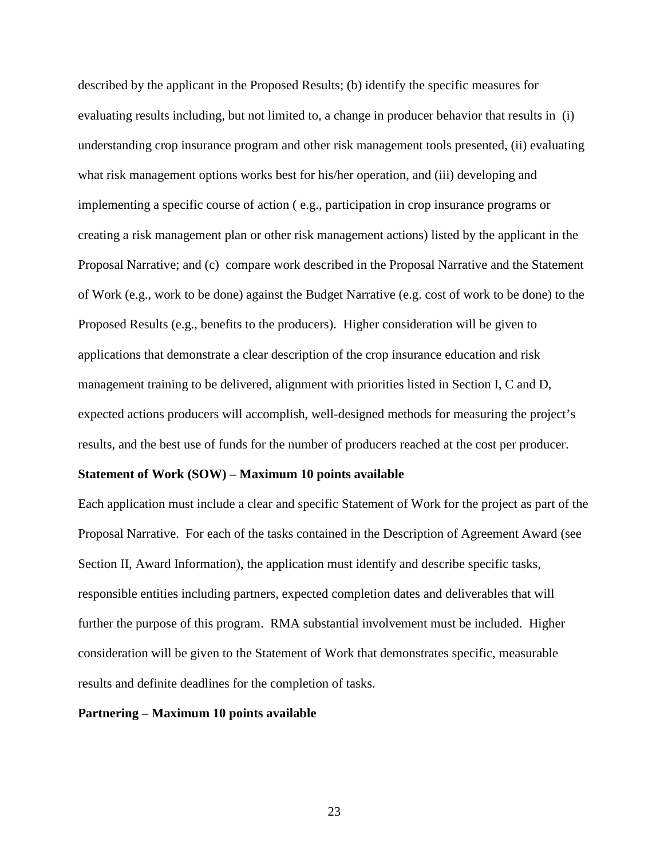described by the applicant in the Proposed Results; (b) identify the specific measures for evaluating results including, but not limited to, a change in producer behavior that results in (i) understanding crop insurance program and other risk management tools presented, (ii) evaluating what risk management options works best for his/her operation, and (iii) developing and implementing a specific course of action ( e.g., participation in crop insurance programs or creating a risk management plan or other risk management actions) listed by the applicant in the Proposal Narrative; and (c) compare work described in the Proposal Narrative and the Statement of Work (e.g., work to be done) against the Budget Narrative (e.g. cost of work to be done) to the Proposed Results (e.g., benefits to the producers). Higher consideration will be given to applications that demonstrate a clear description of the crop insurance education and risk management training to be delivered, alignment with priorities listed in Section I, C and D, expected actions producers will accomplish, well-designed methods for measuring the project's results, and the best use of funds for the number of producers reached at the cost per producer.

### **Statement of Work (SOW) – Maximum 10 points available**

Each application must include a clear and specific Statement of Work for the project as part of the Proposal Narrative. For each of the tasks contained in the Description of Agreement Award (see Section II, Award Information), the application must identify and describe specific tasks, responsible entities including partners, expected completion dates and deliverables that will further the purpose of this program. RMA substantial involvement must be included. Higher consideration will be given to the Statement of Work that demonstrates specific, measurable results and definite deadlines for the completion of tasks.

#### **Partnering – Maximum 10 points available**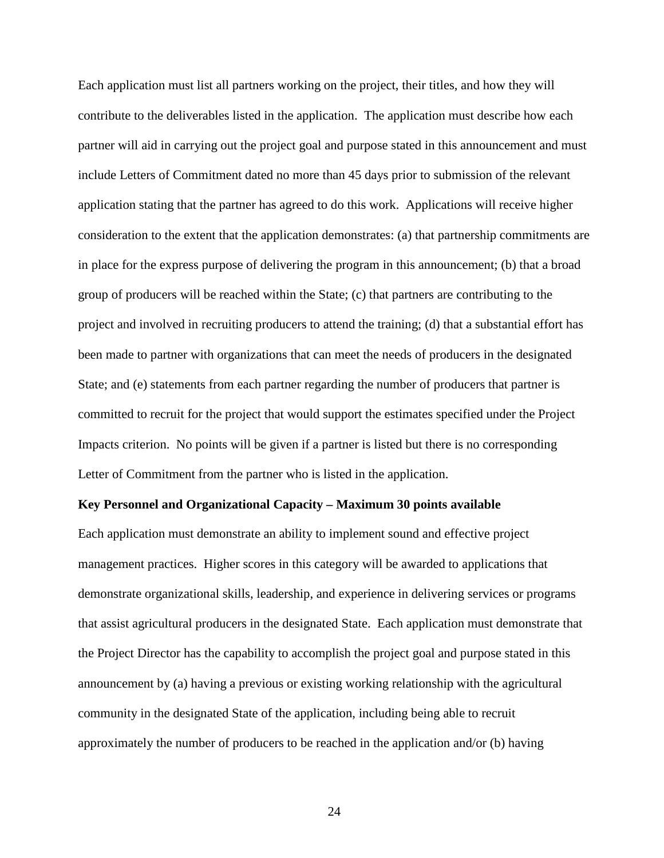Each application must list all partners working on the project, their titles, and how they will contribute to the deliverables listed in the application. The application must describe how each partner will aid in carrying out the project goal and purpose stated in this announcement and must include Letters of Commitment dated no more than 45 days prior to submission of the relevant application stating that the partner has agreed to do this work. Applications will receive higher consideration to the extent that the application demonstrates: (a) that partnership commitments are in place for the express purpose of delivering the program in this announcement; (b) that a broad group of producers will be reached within the State; (c) that partners are contributing to the project and involved in recruiting producers to attend the training; (d) that a substantial effort has been made to partner with organizations that can meet the needs of producers in the designated State; and (e) statements from each partner regarding the number of producers that partner is committed to recruit for the project that would support the estimates specified under the Project Impacts criterion. No points will be given if a partner is listed but there is no corresponding Letter of Commitment from the partner who is listed in the application.

#### **Key Personnel and Organizational Capacity – Maximum 30 points available**

Each application must demonstrate an ability to implement sound and effective project management practices. Higher scores in this category will be awarded to applications that demonstrate organizational skills, leadership, and experience in delivering services or programs that assist agricultural producers in the designated State. Each application must demonstrate that the Project Director has the capability to accomplish the project goal and purpose stated in this announcement by (a) having a previous or existing working relationship with the agricultural community in the designated State of the application, including being able to recruit approximately the number of producers to be reached in the application and/or (b) having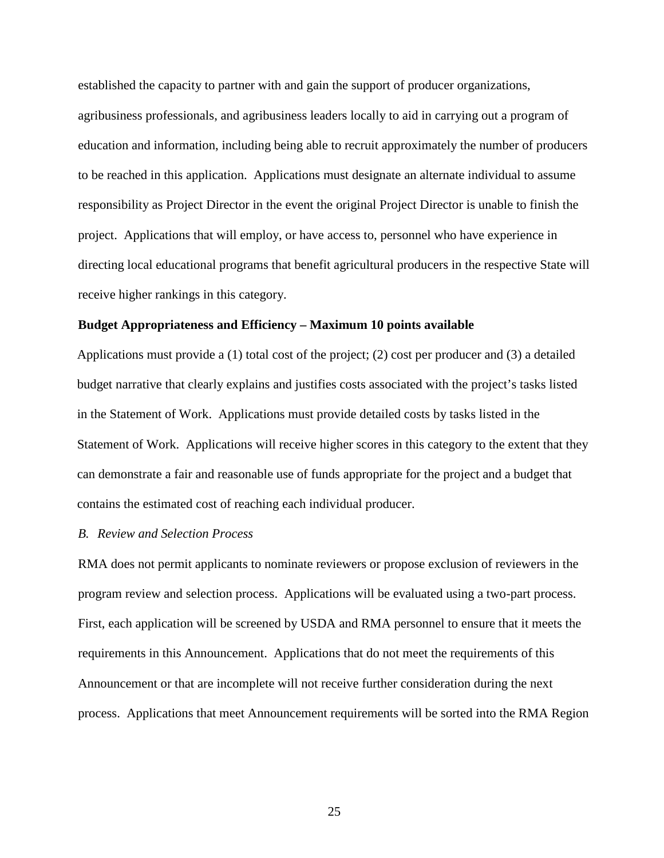established the capacity to partner with and gain the support of producer organizations, agribusiness professionals, and agribusiness leaders locally to aid in carrying out a program of education and information, including being able to recruit approximately the number of producers to be reached in this application. Applications must designate an alternate individual to assume responsibility as Project Director in the event the original Project Director is unable to finish the project. Applications that will employ, or have access to, personnel who have experience in directing local educational programs that benefit agricultural producers in the respective State will receive higher rankings in this category.

#### **Budget Appropriateness and Efficiency – Maximum 10 points available**

Applications must provide a (1) total cost of the project; (2) cost per producer and (3) a detailed budget narrative that clearly explains and justifies costs associated with the project's tasks listed in the Statement of Work. Applications must provide detailed costs by tasks listed in the Statement of Work. Applications will receive higher scores in this category to the extent that they can demonstrate a fair and reasonable use of funds appropriate for the project and a budget that contains the estimated cost of reaching each individual producer.

## *B. Review and Selection Process*

RMA does not permit applicants to nominate reviewers or propose exclusion of reviewers in the program review and selection process. Applications will be evaluated using a two-part process. First, each application will be screened by USDA and RMA personnel to ensure that it meets the requirements in this Announcement. Applications that do not meet the requirements of this Announcement or that are incomplete will not receive further consideration during the next process. Applications that meet Announcement requirements will be sorted into the RMA Region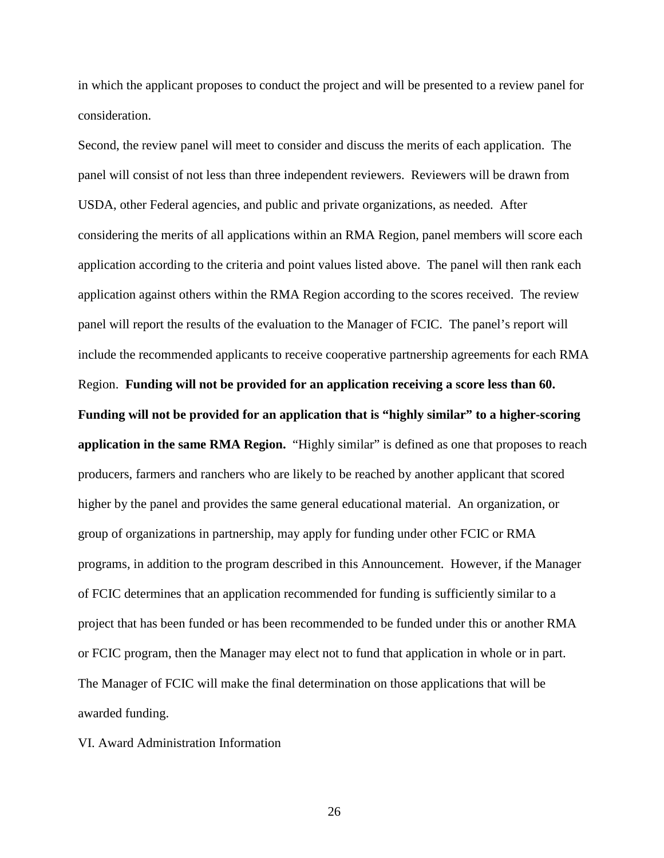in which the applicant proposes to conduct the project and will be presented to a review panel for consideration.

Second, the review panel will meet to consider and discuss the merits of each application. The panel will consist of not less than three independent reviewers. Reviewers will be drawn from USDA, other Federal agencies, and public and private organizations, as needed. After considering the merits of all applications within an RMA Region, panel members will score each application according to the criteria and point values listed above. The panel will then rank each application against others within the RMA Region according to the scores received. The review panel will report the results of the evaluation to the Manager of FCIC. The panel's report will include the recommended applicants to receive cooperative partnership agreements for each RMA Region. **Funding will not be provided for an application receiving a score less than 60. Funding will not be provided for an application that is "highly similar" to a higher-scoring application in the same RMA Region.** "Highly similar" is defined as one that proposes to reach producers, farmers and ranchers who are likely to be reached by another applicant that scored higher by the panel and provides the same general educational material. An organization, or group of organizations in partnership, may apply for funding under other FCIC or RMA programs, in addition to the program described in this Announcement. However, if the Manager of FCIC determines that an application recommended for funding is sufficiently similar to a project that has been funded or has been recommended to be funded under this or another RMA or FCIC program, then the Manager may elect not to fund that application in whole or in part. The Manager of FCIC will make the final determination on those applications that will be awarded funding.

VI. Award Administration Information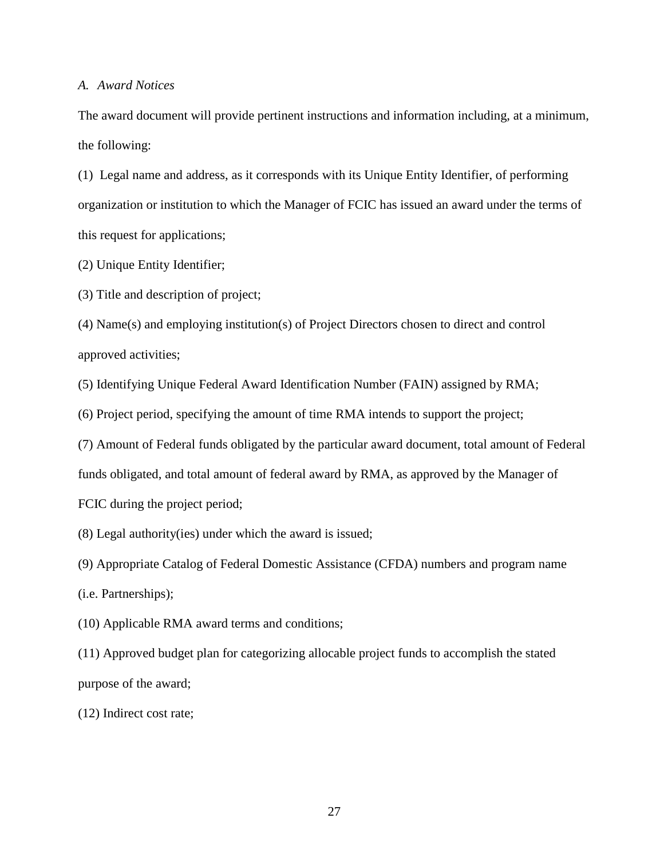## *A. Award Notices*

The award document will provide pertinent instructions and information including, at a minimum, the following:

(1) Legal name and address, as it corresponds with its Unique Entity Identifier, of performing organization or institution to which the Manager of FCIC has issued an award under the terms of this request for applications;

(2) Unique Entity Identifier;

(3) Title and description of project;

(4) Name(s) and employing institution(s) of Project Directors chosen to direct and control approved activities;

(5) Identifying Unique Federal Award Identification Number (FAIN) assigned by RMA;

(6) Project period, specifying the amount of time RMA intends to support the project;

(7) Amount of Federal funds obligated by the particular award document, total amount of Federal funds obligated, and total amount of federal award by RMA, as approved by the Manager of FCIC during the project period;

(8) Legal authority(ies) under which the award is issued;

(9) Appropriate Catalog of Federal Domestic Assistance (CFDA) numbers and program name

(i.e. Partnerships);

(10) Applicable RMA award terms and conditions;

(11) Approved budget plan for categorizing allocable project funds to accomplish the stated purpose of the award;

(12) Indirect cost rate;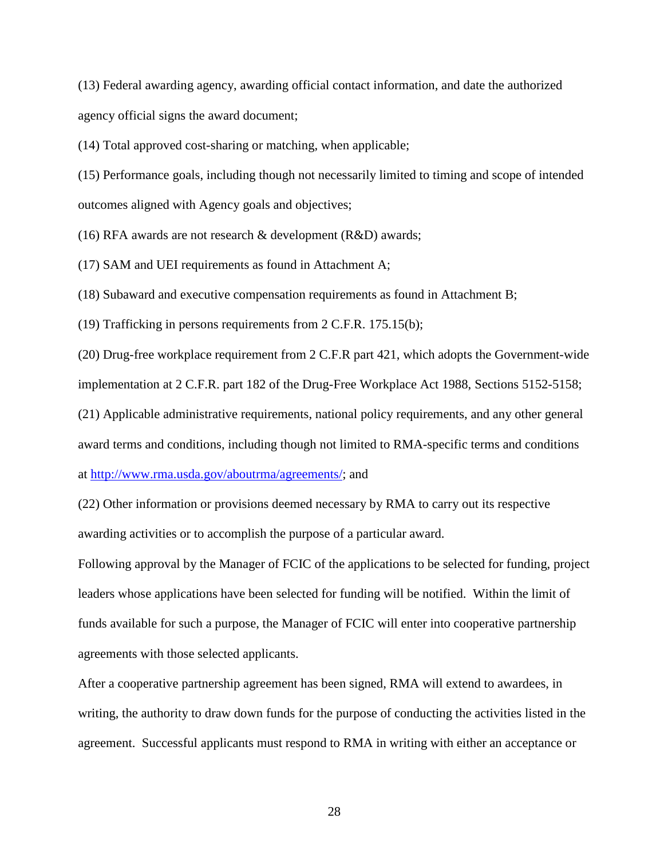(13) Federal awarding agency, awarding official contact information, and date the authorized agency official signs the award document;

(14) Total approved cost-sharing or matching, when applicable;

(15) Performance goals, including though not necessarily limited to timing and scope of intended outcomes aligned with Agency goals and objectives;

(16) RFA awards are not research & development (R&D) awards;

(17) SAM and UEI requirements as found in Attachment A;

(18) Subaward and executive compensation requirements as found in Attachment B;

(19) Trafficking in persons requirements from 2 C.F.R. 175.15(b);

(20) Drug-free workplace requirement from 2 C.F.R part 421, which adopts the Government-wide

implementation at 2 C.F.R. part 182 of the Drug-Free Workplace Act 1988, Sections 5152-5158;

(21) Applicable administrative requirements, national policy requirements, and any other general

award terms and conditions, including though not limited to RMA-specific terms and conditions

at [http://www.rma.usda.gov/aboutrma/agreements/;](http://www.rma.usda.gov/aboutrma/agreements/) and

(22) Other information or provisions deemed necessary by RMA to carry out its respective awarding activities or to accomplish the purpose of a particular award.

Following approval by the Manager of FCIC of the applications to be selected for funding, project leaders whose applications have been selected for funding will be notified. Within the limit of funds available for such a purpose, the Manager of FCIC will enter into cooperative partnership agreements with those selected applicants.

After a cooperative partnership agreement has been signed, RMA will extend to awardees, in writing, the authority to draw down funds for the purpose of conducting the activities listed in the agreement. Successful applicants must respond to RMA in writing with either an acceptance or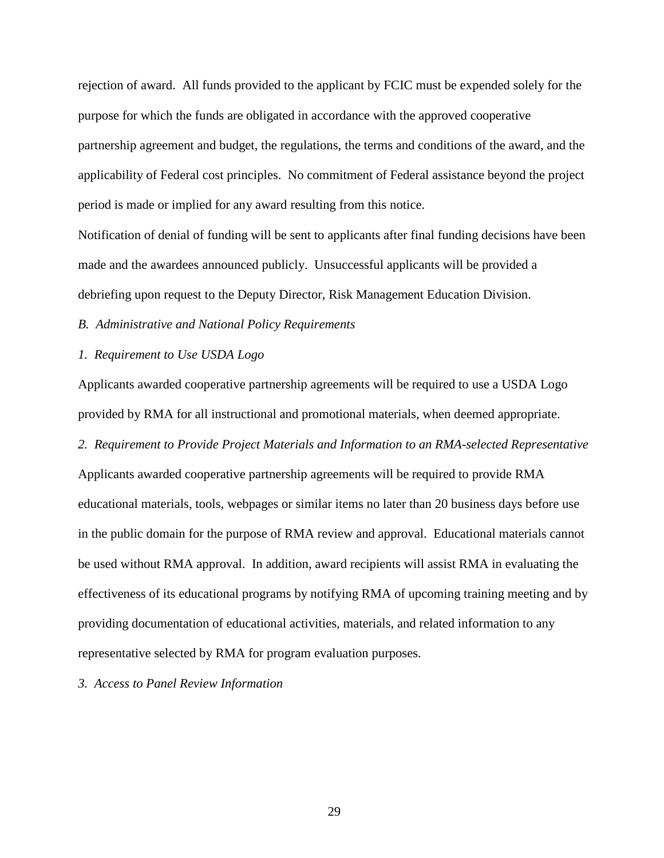rejection of award. All funds provided to the applicant by FCIC must be expended solely for the purpose for which the funds are obligated in accordance with the approved cooperative partnership agreement and budget, the regulations, the terms and conditions of the award, and the applicability of Federal cost principles. No commitment of Federal assistance beyond the project period is made or implied for any award resulting from this notice.

Notification of denial of funding will be sent to applicants after final funding decisions have been made and the awardees announced publicly. Unsuccessful applicants will be provided a debriefing upon request to the Deputy Director, Risk Management Education Division.

*B. Administrative and National Policy Requirements*

*1. Requirement to Use USDA Logo*

Applicants awarded cooperative partnership agreements will be required to use a USDA Logo provided by RMA for all instructional and promotional materials, when deemed appropriate.

*2. Requirement to Provide Project Materials and Information to an RMA-selected Representative*

Applicants awarded cooperative partnership agreements will be required to provide RMA educational materials, tools, webpages or similar items no later than 20 business days before use in the public domain for the purpose of RMA review and approval. Educational materials cannot be used without RMA approval. In addition, award recipients will assist RMA in evaluating the effectiveness of its educational programs by notifying RMA of upcoming training meeting and by providing documentation of educational activities, materials, and related information to any representative selected by RMA for program evaluation purposes.

*3. Access to Panel Review Information*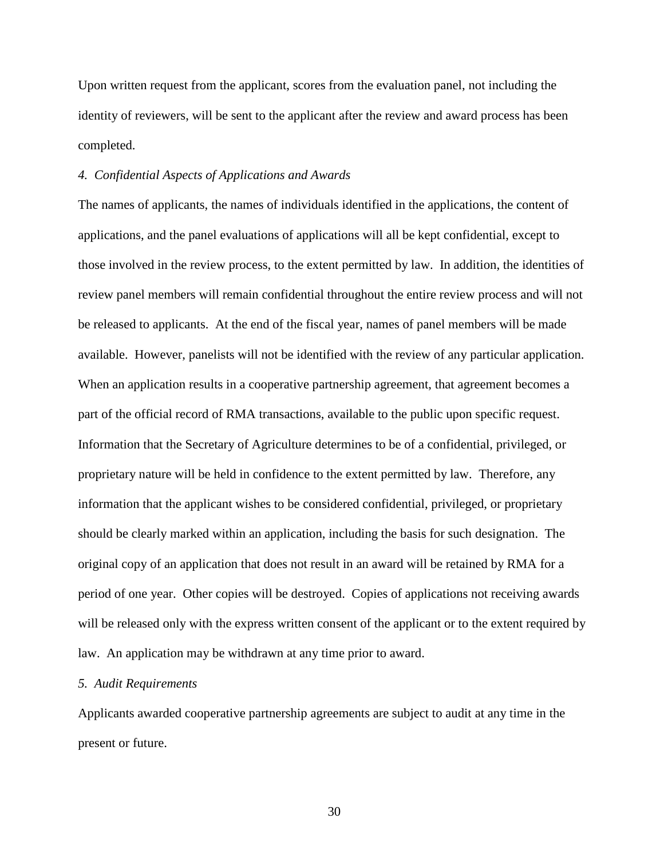Upon written request from the applicant, scores from the evaluation panel, not including the identity of reviewers, will be sent to the applicant after the review and award process has been completed.

## *4. Confidential Aspects of Applications and Awards*

The names of applicants, the names of individuals identified in the applications, the content of applications, and the panel evaluations of applications will all be kept confidential, except to those involved in the review process, to the extent permitted by law. In addition, the identities of review panel members will remain confidential throughout the entire review process and will not be released to applicants. At the end of the fiscal year, names of panel members will be made available. However, panelists will not be identified with the review of any particular application. When an application results in a cooperative partnership agreement, that agreement becomes a part of the official record of RMA transactions, available to the public upon specific request. Information that the Secretary of Agriculture determines to be of a confidential, privileged, or proprietary nature will be held in confidence to the extent permitted by law. Therefore, any information that the applicant wishes to be considered confidential, privileged, or proprietary should be clearly marked within an application, including the basis for such designation. The original copy of an application that does not result in an award will be retained by RMA for a period of one year. Other copies will be destroyed. Copies of applications not receiving awards will be released only with the express written consent of the applicant or to the extent required by law. An application may be withdrawn at any time prior to award.

## *5. Audit Requirements*

Applicants awarded cooperative partnership agreements are subject to audit at any time in the present or future.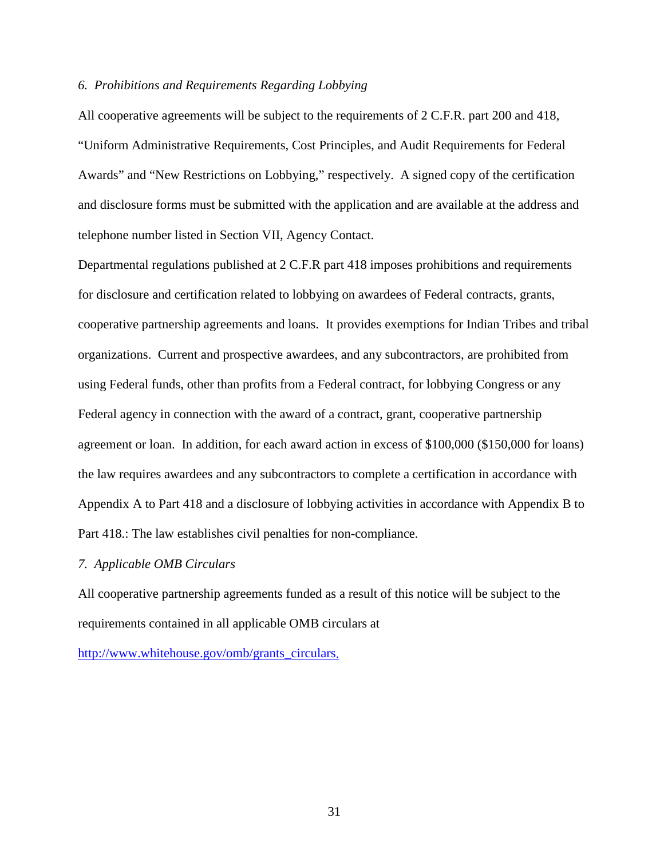## *6. Prohibitions and Requirements Regarding Lobbying*

All cooperative agreements will be subject to the requirements of 2 C.F.R. part 200 and 418, "Uniform Administrative Requirements, Cost Principles, and Audit Requirements for Federal Awards" and "New Restrictions on Lobbying," respectively. A signed copy of the certification and disclosure forms must be submitted with the application and are available at the address and telephone number listed in Section VII, Agency Contact.

Departmental regulations published at 2 C.F.R part 418 imposes prohibitions and requirements for disclosure and certification related to lobbying on awardees of Federal contracts, grants, cooperative partnership agreements and loans. It provides exemptions for Indian Tribes and tribal organizations. Current and prospective awardees, and any subcontractors, are prohibited from using Federal funds, other than profits from a Federal contract, for lobbying Congress or any Federal agency in connection with the award of a contract, grant, cooperative partnership agreement or loan. In addition, for each award action in excess of \$100,000 (\$150,000 for loans) the law requires awardees and any subcontractors to complete a certification in accordance with Appendix A to Part 418 and a disclosure of lobbying activities in accordance with Appendix B to Part 418.: The law establishes civil penalties for non-compliance.

#### *7. Applicable OMB Circulars*

All cooperative partnership agreements funded as a result of this notice will be subject to the requirements contained in all applicable OMB circulars at

[http://www.whitehouse.gov/omb/grants\\_circulars.](http://www.whitehouse.gov/omb/grants_circulars)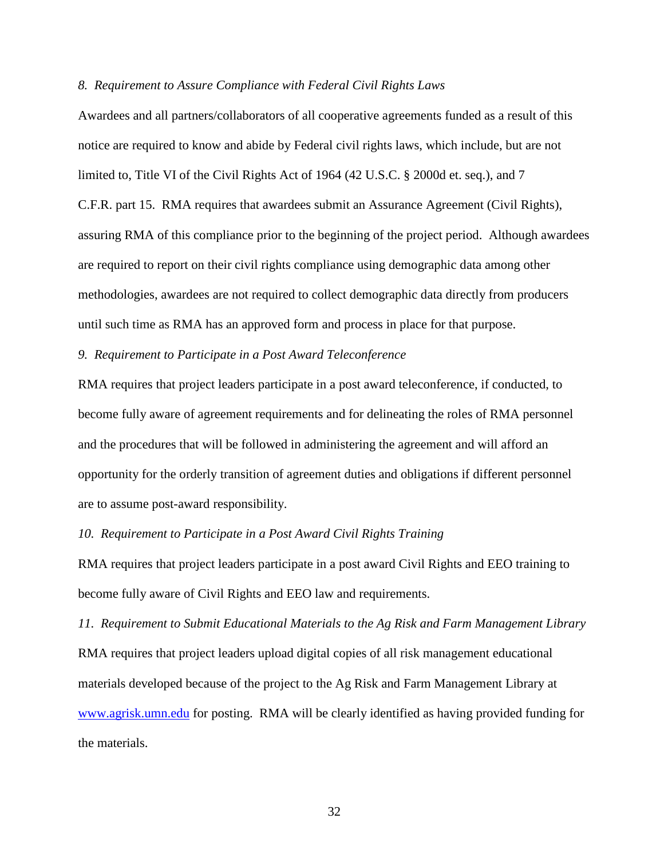## *8. Requirement to Assure Compliance with Federal Civil Rights Laws*

Awardees and all partners/collaborators of all cooperative agreements funded as a result of this notice are required to know and abide by Federal civil rights laws, which include, but are not limited to, Title VI of the Civil Rights Act of 1964 (42 U.S.C. § 2000d et. seq.), and 7 C.F.R. part 15. RMA requires that awardees submit an Assurance Agreement (Civil Rights), assuring RMA of this compliance prior to the beginning of the project period. Although awardees are required to report on their civil rights compliance using demographic data among other methodologies, awardees are not required to collect demographic data directly from producers until such time as RMA has an approved form and process in place for that purpose.

## *9. Requirement to Participate in a Post Award Teleconference*

RMA requires that project leaders participate in a post award teleconference, if conducted, to become fully aware of agreement requirements and for delineating the roles of RMA personnel and the procedures that will be followed in administering the agreement and will afford an opportunity for the orderly transition of agreement duties and obligations if different personnel are to assume post-award responsibility.

#### *10. Requirement to Participate in a Post Award Civil Rights Training*

RMA requires that project leaders participate in a post award Civil Rights and EEO training to become fully aware of Civil Rights and EEO law and requirements.

*11. Requirement to Submit Educational Materials to the Ag Risk and Farm Management Library* RMA requires that project leaders upload digital copies of all risk management educational materials developed because of the project to the Ag Risk and Farm Management Library at [www.agrisk.umn.edu](http://www.agrisk.umn.edu/) for posting. RMA will be clearly identified as having provided funding for the materials.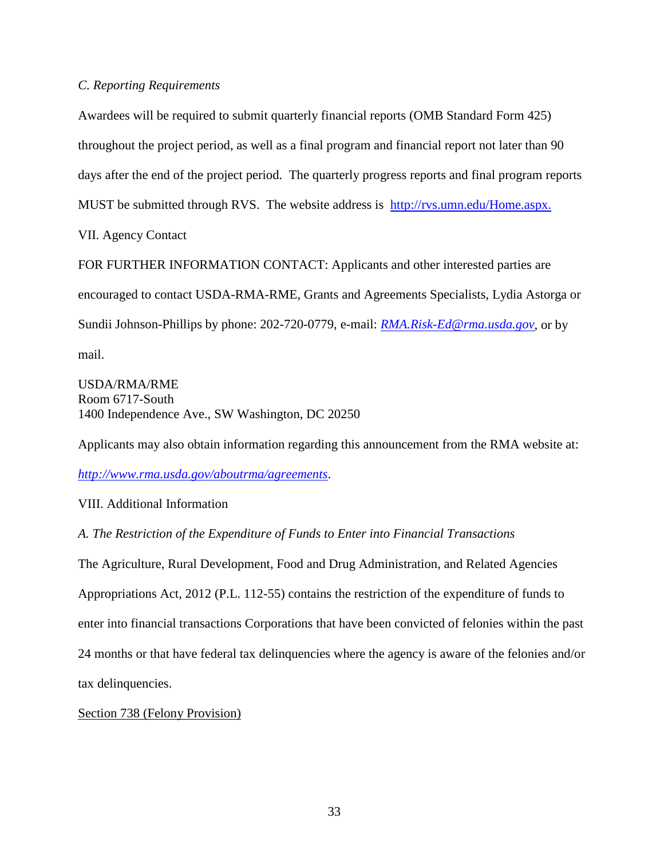## *C. Reporting Requirements*

Awardees will be required to submit quarterly financial reports (OMB Standard Form 425) throughout the project period, as well as a final program and financial report not later than 90 days after the end of the project period. The quarterly progress reports and final program reports MUST be submitted through RVS. The website address is http://rvs.umn.edu/Home.aspx. VII. Agency Contact FOR FURTHER INFORMATION CONTACT: Applicants and other interested parties are

encouraged to contact USDA-RMA-RME, Grants and Agreements Specialists, Lydia Astorga or Sundii Johnson-Phillips by phone: 202-720-0779, e-mail: *[RMA.Risk-Ed@rma.usda.gov](mailto:RMA.Risk-Ed@rma.usda.gov)*, or by mail.

USDA/RMA/RME Room 6717-South 1400 Independence Ave., SW Washington, DC 20250

Applicants may also obtain information regarding this announcement from the RMA website at:

*<http://www.rma.usda.gov/aboutrma/agreements>*.

VIII. Additional Information

*A. The Restriction of the Expenditure of Funds to Enter into Financial Transactions*

The Agriculture, Rural Development, Food and Drug Administration, and Related Agencies Appropriations Act, 2012 (P.L. 112-55) contains the restriction of the expenditure of funds to enter into financial transactions Corporations that have been convicted of felonies within the past 24 months or that have federal tax delinquencies where the agency is aware of the felonies and/or tax delinquencies.

# Section 738 (Felony Provision)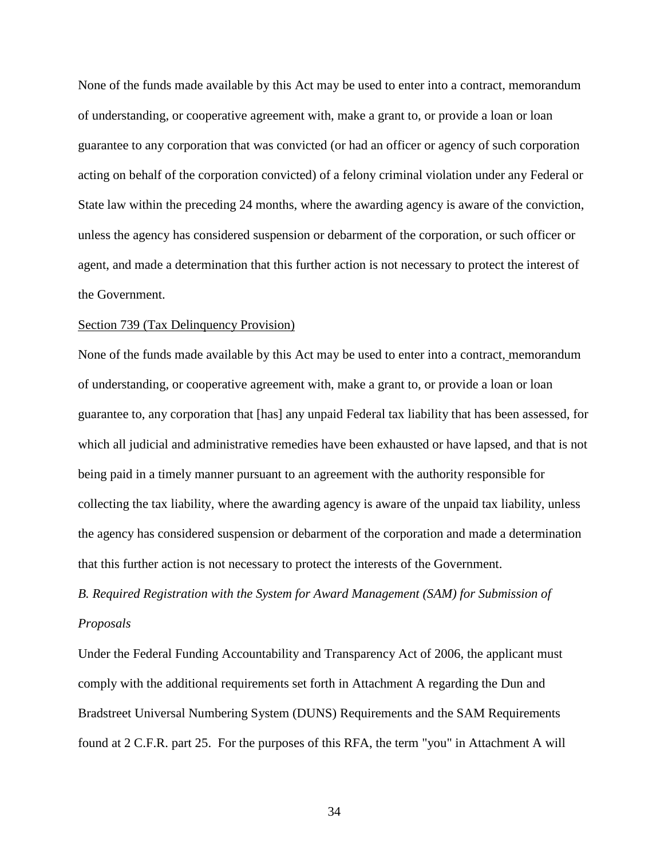None of the funds made available by this Act may be used to enter into a contract, memorandum of understanding, or cooperative agreement with, make a grant to, or provide a loan or loan guarantee to any corporation that was convicted (or had an officer or agency of such corporation acting on behalf of the corporation convicted) of a felony criminal violation under any Federal or State law within the preceding 24 months, where the awarding agency is aware of the conviction, unless the agency has considered suspension or debarment of the corporation, or such officer or agent, and made a determination that this further action is not necessary to protect the interest of the Government.

#### Section 739 (Tax Delinquency Provision)

None of the funds made available by this Act may be used to enter into a contract, memorandum of understanding, or cooperative agreement with, make a grant to, or provide a loan or loan guarantee to, any corporation that [has] any unpaid Federal tax liability that has been assessed, for which all judicial and administrative remedies have been exhausted or have lapsed, and that is not being paid in a timely manner pursuant to an agreement with the authority responsible for collecting the tax liability, where the awarding agency is aware of the unpaid tax liability, unless the agency has considered suspension or debarment of the corporation and made a determination that this further action is not necessary to protect the interests of the Government.

*B. Required Registration with the System for Award Management (SAM) for Submission of Proposals*

Under the Federal Funding Accountability and Transparency Act of 2006, the applicant must comply with the additional requirements set forth in Attachment A regarding the Dun and Bradstreet Universal Numbering System (DUNS) Requirements and the SAM Requirements found at 2 C.F.R. part 25. For the purposes of this RFA, the term "you" in Attachment A will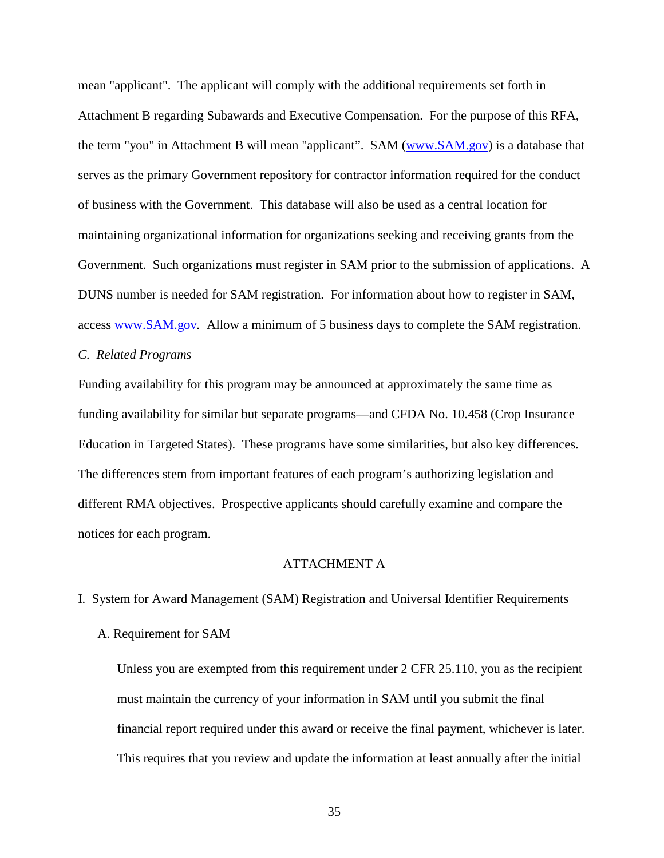mean "applicant". The applicant will comply with the additional requirements set forth in Attachment B regarding Subawards and Executive Compensation. For the purpose of this RFA, the term "you" in Attachment B will mean "applicant". SAM [\(www.SAM.gov\)](http://www.sam.gov/) is a database that serves as the primary Government repository for contractor information required for the conduct of business with the Government. This database will also be used as a central location for maintaining organizational information for organizations seeking and receiving grants from the Government. Such organizations must register in SAM prior to the submission of applications. A DUNS number is needed for SAM registration. For information about how to register in SAM, access [www.SAM.gov](http://www.sam.gov/)*.* Allow a minimum of 5 business days to complete the SAM registration.

# *C. Related Programs*

Funding availability for this program may be announced at approximately the same time as funding availability for similar but separate programs—and CFDA No. 10.458 (Crop Insurance Education in Targeted States). These programs have some similarities, but also key differences. The differences stem from important features of each program's authorizing legislation and different RMA objectives. Prospective applicants should carefully examine and compare the notices for each program.

#### ATTACHMENT A

I. System for Award Management (SAM) Registration and Universal Identifier Requirements

#### A. Requirement for SAM

Unless you are exempted from this requirement under 2 CFR 25.110, you as the recipient must maintain the currency of your information in SAM until you submit the final financial report required under this award or receive the final payment, whichever is later. This requires that you review and update the information at least annually after the initial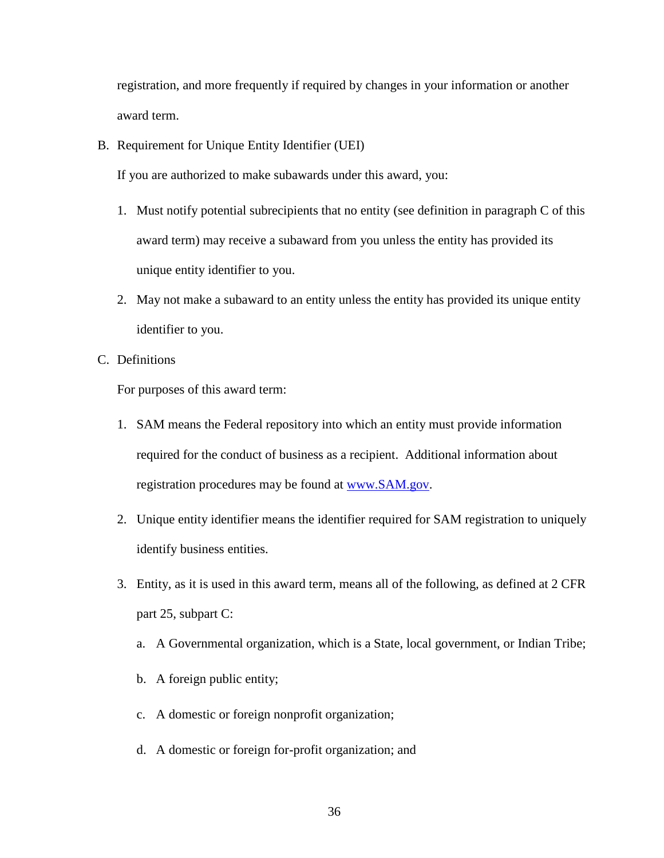registration, and more frequently if required by changes in your information or another award term.

B. Requirement for Unique Entity Identifier (UEI)

If you are authorized to make subawards under this award, you:

- 1. Must notify potential subrecipients that no entity (see definition in paragraph C of this award term) may receive a subaward from you unless the entity has provided its unique entity identifier to you.
- 2. May not make a subaward to an entity unless the entity has provided its unique entity identifier to you.
- C. Definitions

For purposes of this award term:

- 1. SAM means the Federal repository into which an entity must provide information required for the conduct of business as a recipient. Additional information about registration procedures may be found at [www.SAM.gov.](http://www.sam.gov/)
- 2. Unique entity identifier means the identifier required for SAM registration to uniquely identify business entities.
- 3. Entity, as it is used in this award term, means all of the following, as defined at 2 CFR part 25, subpart C:
	- a. A Governmental organization, which is a State, local government, or Indian Tribe;
	- b. A foreign public entity;
	- c. A domestic or foreign nonprofit organization;
	- d. A domestic or foreign for-profit organization; and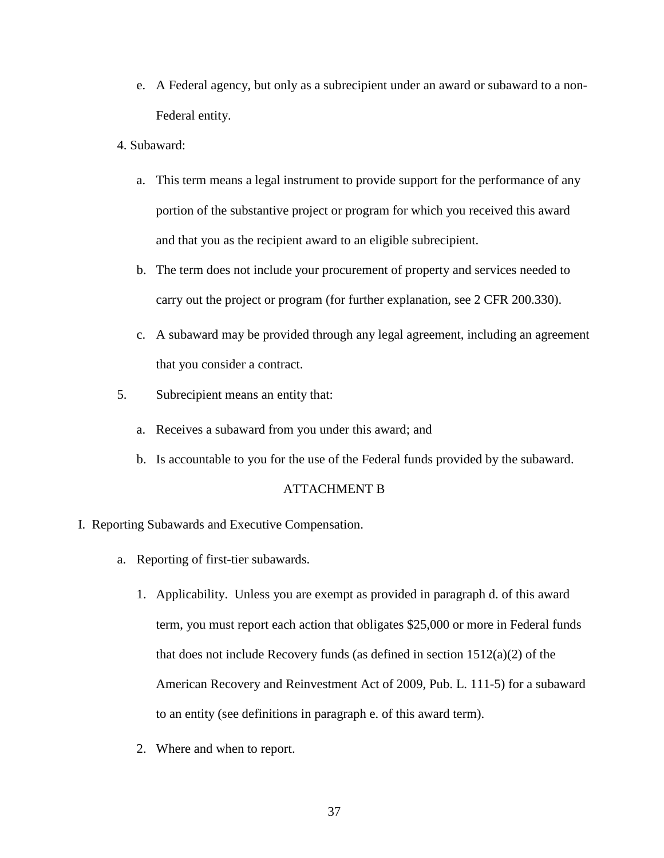- e. A Federal agency, but only as a subrecipient under an award or subaward to a non-Federal entity.
- 4. Subaward:
	- a. This term means a legal instrument to provide support for the performance of any portion of the substantive project or program for which you received this award and that you as the recipient award to an eligible subrecipient.
	- b. The term does not include your procurement of property and services needed to carry out the project or program (for further explanation, see 2 CFR 200.330).
	- c. A subaward may be provided through any legal agreement, including an agreement that you consider a contract.
- 5. Subrecipient means an entity that:
	- a. Receives a subaward from you under this award; and
	- b. Is accountable to you for the use of the Federal funds provided by the subaward.

## ATTACHMENT B

- I. Reporting Subawards and Executive Compensation.
	- a. Reporting of first-tier subawards.
		- 1. Applicability. Unless you are exempt as provided in paragraph d. of this award term, you must report each action that obligates \$25,000 or more in Federal funds that does not include Recovery funds (as defined in section 1512(a)(2) of the American Recovery and Reinvestment Act of 2009, Pub. L. 111-5) for a subaward to an entity (see definitions in paragraph e. of this award term).
		- 2. Where and when to report.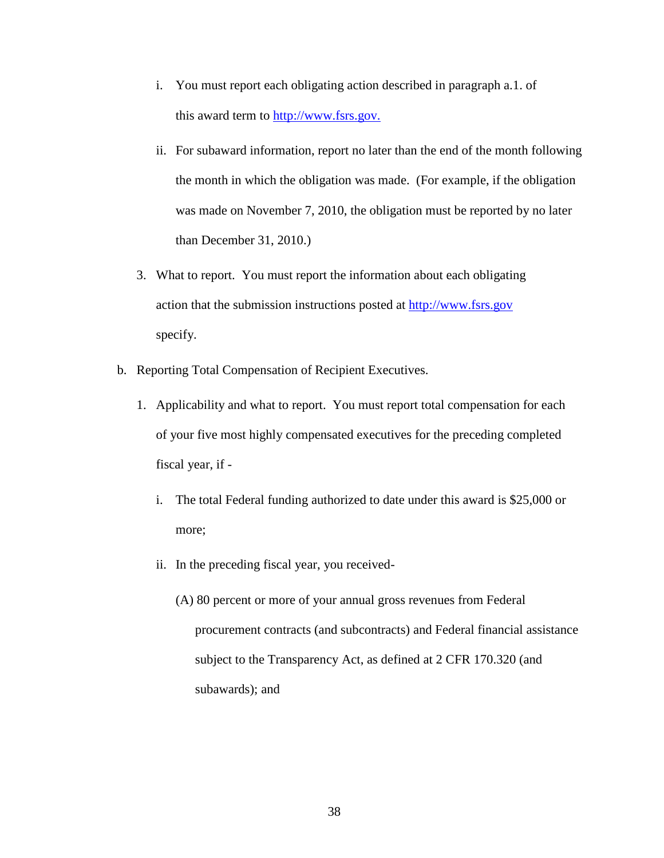- i. You must report each obligating action described in paragraph a.1. of this award term to [http://www.fsrs.gov.](http://www.fsrs.gov/)
- ii. For subaward information, report no later than the end of the month following the month in which the obligation was made. (For example, if the obligation was made on November 7, 2010, the obligation must be reported by no later than December 31, 2010.)
- 3. What to report. You must report the information about each obligating action that the submission instructions posted at [http://www.fsrs.gov](http://www.fsrs.gov/) specify.
- b. Reporting Total Compensation of Recipient Executives.
	- 1. Applicability and what to report. You must report total compensation for each of your five most highly compensated executives for the preceding completed fiscal year, if
		- i. The total Federal funding authorized to date under this award is \$25,000 or more;
		- ii. In the preceding fiscal year, you received-
			- (A) 80 percent or more of your annual gross revenues from Federal procurement contracts (and subcontracts) and Federal financial assistance subject to the Transparency Act, as defined at 2 CFR 170.320 (and subawards); and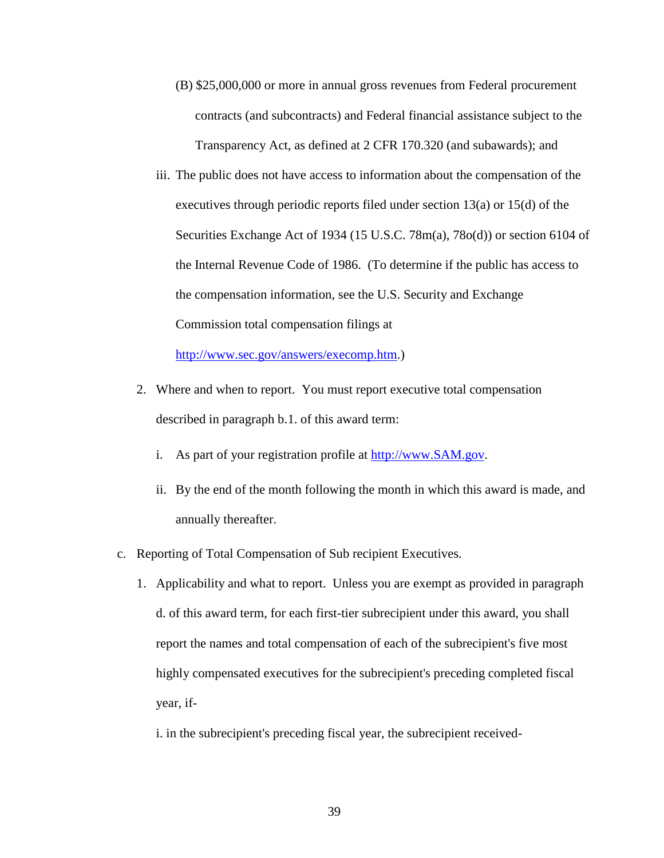- (B) \$25,000,000 or more in annual gross revenues from Federal procurement contracts (and subcontracts) and Federal financial assistance subject to the Transparency Act, as defined at 2 CFR 170.320 (and subawards); and
- iii. The public does not have access to information about the compensation of the executives through periodic reports filed under section 13(a) or 15(d) of the Securities Exchange Act of 1934 (15 U.S.C. 78m(a), 78o(d)) or section 6104 of the Internal Revenue Code of 1986. (To determine if the public has access to the compensation information, see the U.S. Security and Exchange Commission total compensation filings at

[http://www.sec.gov/answers/execomp.htm.](http://www.sec.gov/answers/execomp.htm))

- 2. Where and when to report. You must report executive total compensation described in paragraph b.1. of this award term:
	- i. As part of your registration profile at [http://www.SAM.gov.](http://www.sam.gov/)
	- ii. By the end of the month following the month in which this award is made, and annually thereafter.
- c. Reporting of Total Compensation of Sub recipient Executives.
	- 1. Applicability and what to report. Unless you are exempt as provided in paragraph d. of this award term, for each first-tier subrecipient under this award, you shall report the names and total compensation of each of the subrecipient's five most highly compensated executives for the subrecipient's preceding completed fiscal year, if
		- i. in the subrecipient's preceding fiscal year, the subrecipient received-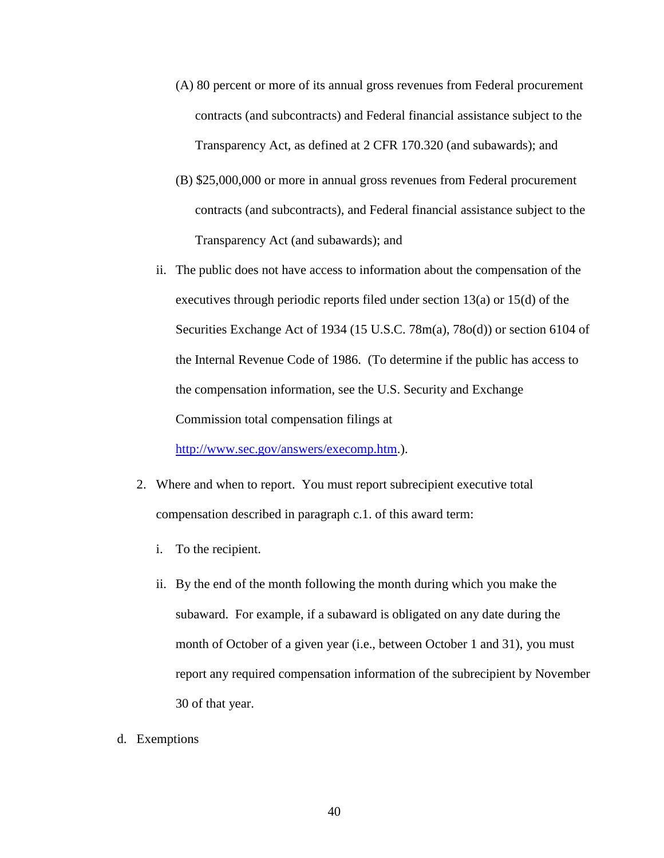- (A) 80 percent or more of its annual gross revenues from Federal procurement contracts (and subcontracts) and Federal financial assistance subject to the Transparency Act, as defined at 2 CFR 170.320 (and subawards); and
- (B) \$25,000,000 or more in annual gross revenues from Federal procurement contracts (and subcontracts), and Federal financial assistance subject to the Transparency Act (and subawards); and
- ii. The public does not have access to information about the compensation of the executives through periodic reports filed under section 13(a) or 15(d) of the Securities Exchange Act of 1934 (15 U.S.C. 78m(a), 78o(d)) or section 6104 of the Internal Revenue Code of 1986. (To determine if the public has access to the compensation information, see the U.S. Security and Exchange Commission total compensation filings at

[http://www.sec.gov/answers/execomp.htm.](http://www.sec.gov/answers/execomp.htm)).

- 2. Where and when to report. You must report subrecipient executive total compensation described in paragraph c.1. of this award term:
	- i. To the recipient.
	- ii. By the end of the month following the month during which you make the subaward. For example, if a subaward is obligated on any date during the month of October of a given year (i.e., between October 1 and 31), you must report any required compensation information of the subrecipient by November 30 of that year.
- d. Exemptions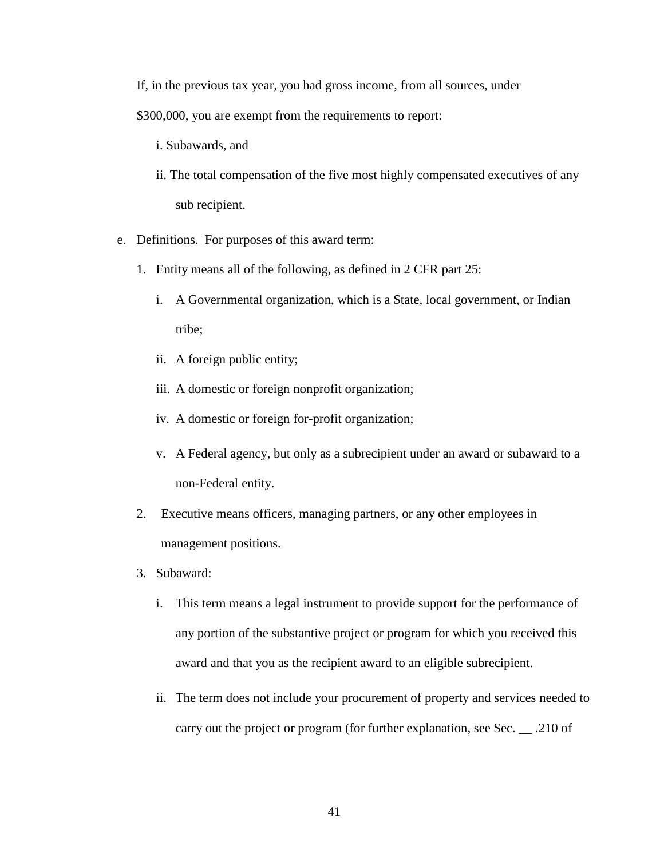If, in the previous tax year, you had gross income, from all sources, under

\$300,000, you are exempt from the requirements to report:

- i. Subawards, and
- ii. The total compensation of the five most highly compensated executives of any sub recipient.
- e. Definitions. For purposes of this award term:
	- 1. Entity means all of the following, as defined in 2 CFR part 25:
		- i. A Governmental organization, which is a State, local government, or Indian tribe;
		- ii. A foreign public entity;
		- iii. A domestic or foreign nonprofit organization;
		- iv. A domestic or foreign for-profit organization;
		- v. A Federal agency, but only as a subrecipient under an award or subaward to a non-Federal entity.
	- 2. Executive means officers, managing partners, or any other employees in management positions.
	- 3. Subaward:
		- i. This term means a legal instrument to provide support for the performance of any portion of the substantive project or program for which you received this award and that you as the recipient award to an eligible subrecipient.
		- ii. The term does not include your procurement of property and services needed to carry out the project or program (for further explanation, see Sec. \_\_ .210 of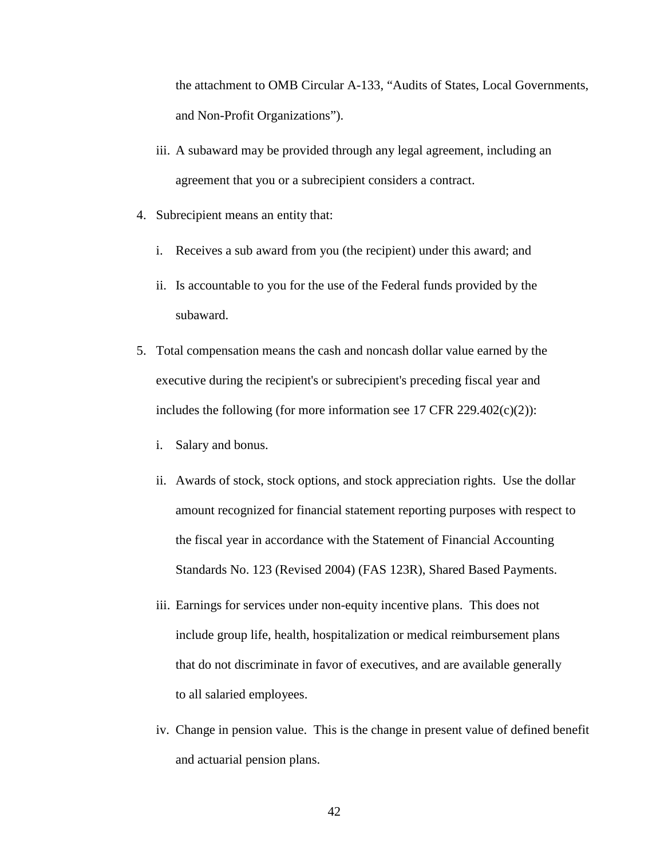the attachment to OMB Circular A-133, "Audits of States, Local Governments, and Non-Profit Organizations").

- iii. A subaward may be provided through any legal agreement, including an agreement that you or a subrecipient considers a contract.
- 4. Subrecipient means an entity that:
	- i. Receives a sub award from you (the recipient) under this award; and
	- ii. Is accountable to you for the use of the Federal funds provided by the subaward.
- 5. Total compensation means the cash and noncash dollar value earned by the executive during the recipient's or subrecipient's preceding fiscal year and includes the following (for more information see 17 CFR 229.402(c)(2)):
	- i. Salary and bonus.
	- ii. Awards of stock, stock options, and stock appreciation rights. Use the dollar amount recognized for financial statement reporting purposes with respect to the fiscal year in accordance with the Statement of Financial Accounting Standards No. 123 (Revised 2004) (FAS 123R), Shared Based Payments.
	- iii. Earnings for services under non-equity incentive plans. This does not include group life, health, hospitalization or medical reimbursement plans that do not discriminate in favor of executives, and are available generally to all salaried employees.
	- iv. Change in pension value. This is the change in present value of defined benefit and actuarial pension plans.